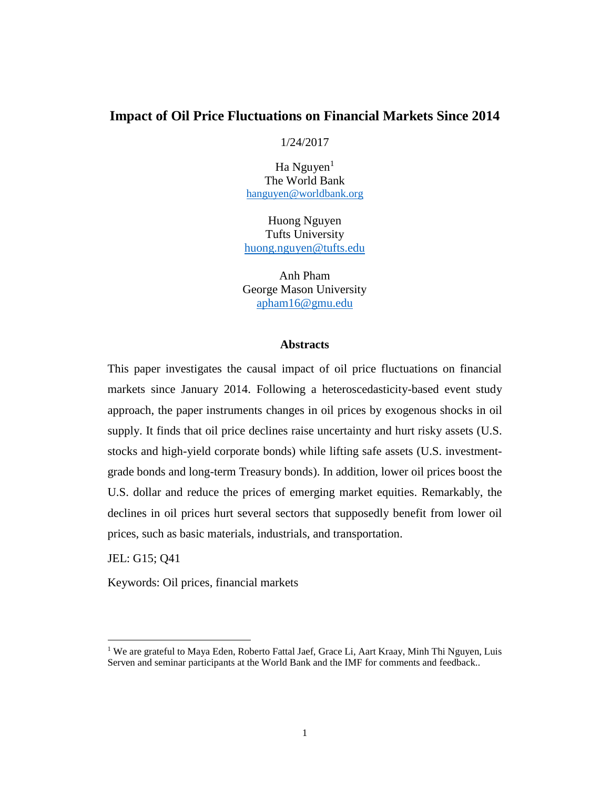# **Impact of Oil Price Fluctuations on Financial Markets Since 2014**

### 1/24/2017

 $Ha$  Nguyen<sup>1</sup> The World Bank [hanguyen@worldbank.org](mailto:hanguyen@worldbank.org)

Huong Nguyen Tufts University [huong.nguyen@tufts.edu](mailto:huong.nguyen@tufts.edu)

Anh Pham George Mason University [apham16@gmu.edu](mailto:apham16@gmu.edu)

### **Abstracts**

This paper investigates the causal impact of oil price fluctuations on financial markets since January 2014. Following a heteroscedasticity-based event study approach, the paper instruments changes in oil prices by exogenous shocks in oil supply. It finds that oil price declines raise uncertainty and hurt risky assets (U.S. stocks and high-yield corporate bonds) while lifting safe assets (U.S. investmentgrade bonds and long-term Treasury bonds). In addition, lower oil prices boost the U.S. dollar and reduce the prices of emerging market equities. Remarkably, the declines in oil prices hurt several sectors that supposedly benefit from lower oil prices, such as basic materials, industrials, and transportation.

JEL: G15; Q41

 $\overline{\phantom{a}}$ 

Keywords: Oil prices, financial markets

<sup>&</sup>lt;sup>1</sup> We are grateful to Maya Eden, Roberto Fattal Jaef, Grace Li, Aart Kraay, Minh Thi Nguyen, Luis Serven and seminar participants at the World Bank and the IMF for comments and feedback..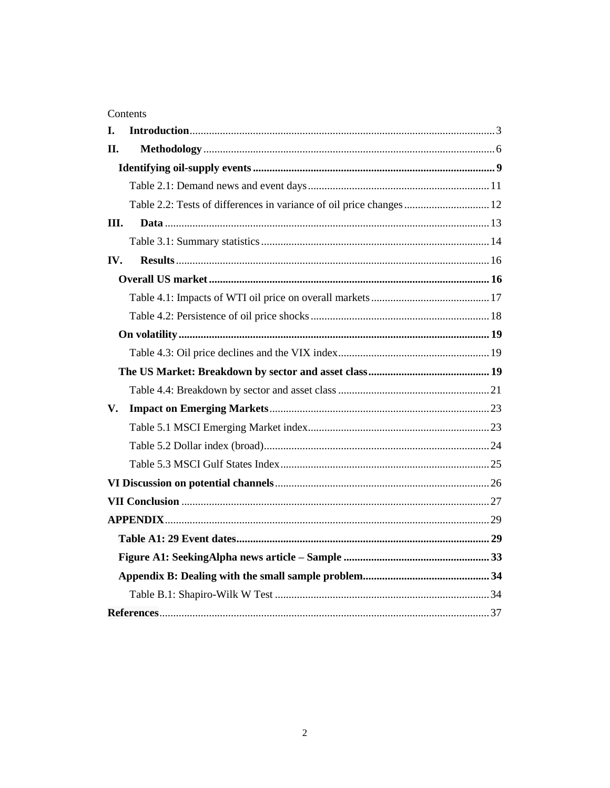# Contents

| I.  |                                                                     |  |
|-----|---------------------------------------------------------------------|--|
| II. |                                                                     |  |
|     |                                                                     |  |
|     |                                                                     |  |
|     | Table 2.2: Tests of differences in variance of oil price changes 12 |  |
| Ш.  |                                                                     |  |
|     |                                                                     |  |
| IV. |                                                                     |  |
|     |                                                                     |  |
|     |                                                                     |  |
|     |                                                                     |  |
|     |                                                                     |  |
|     |                                                                     |  |
|     |                                                                     |  |
|     |                                                                     |  |
| V.  |                                                                     |  |
|     |                                                                     |  |
|     |                                                                     |  |
|     |                                                                     |  |
|     |                                                                     |  |
|     |                                                                     |  |
|     |                                                                     |  |
|     |                                                                     |  |
|     |                                                                     |  |
|     |                                                                     |  |
|     |                                                                     |  |
|     |                                                                     |  |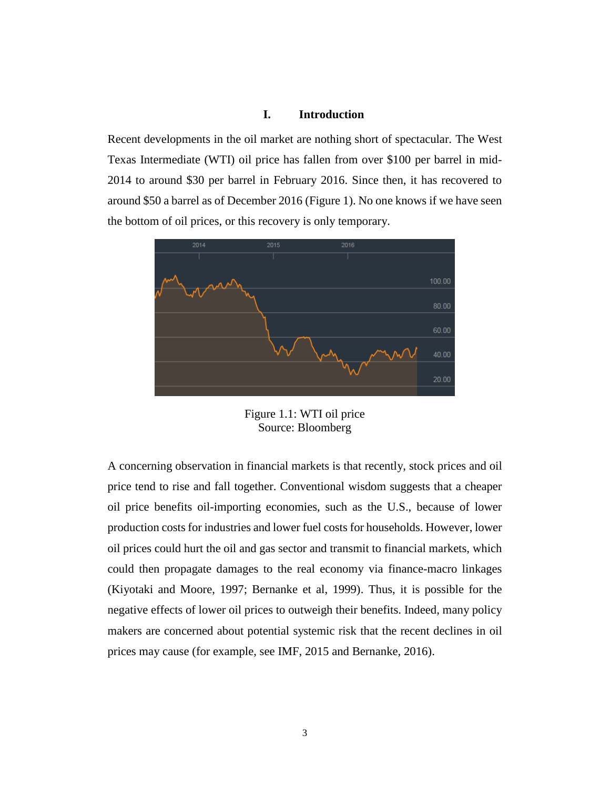## **I. Introduction**

<span id="page-2-0"></span>Recent developments in the oil market are nothing short of spectacular. The West Texas Intermediate (WTI) oil price has fallen from over \$100 per barrel in mid-2014 to around \$30 per barrel in February 2016. Since then, it has recovered to around \$50 a barrel as of December 2016 (Figure 1). No one knows if we have seen the bottom of oil prices, or this recovery is only temporary.



Figure 1.1: WTI oil price Source: Bloomberg

A concerning observation in financial markets is that recently, stock prices and oil price tend to rise and fall together. Conventional wisdom suggests that a cheaper oil price benefits oil-importing economies, such as the U.S., because of lower production costs for industries and lower fuel costs for households. However, lower oil prices could hurt the oil and gas sector and transmit to financial markets, which could then propagate damages to the real economy via finance-macro linkages (Kiyotaki and Moore, 1997; Bernanke et al, 1999). Thus, it is possible for the negative effects of lower oil prices to outweigh their benefits. Indeed, many policy makers are concerned about potential systemic risk that the recent declines in oil prices may cause (for example, see IMF, 2015 and Bernanke, 2016).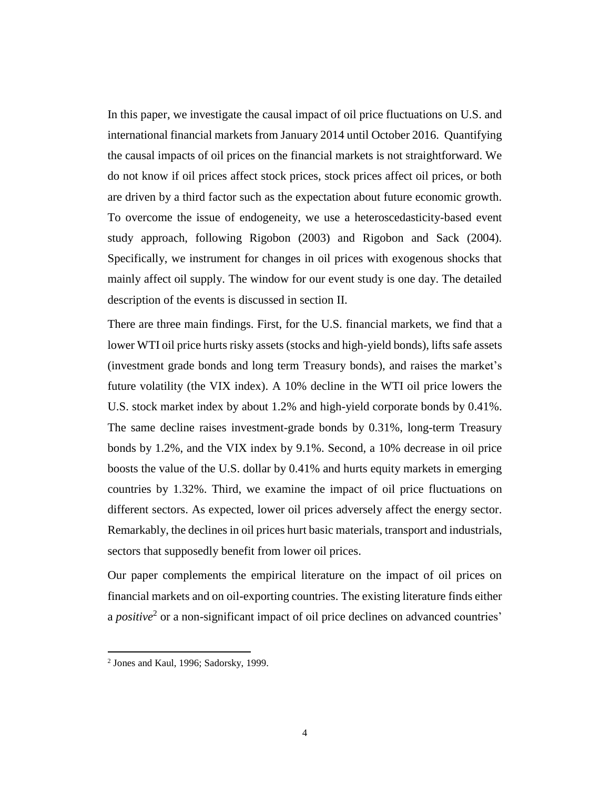In this paper, we investigate the causal impact of oil price fluctuations on U.S. and international financial markets from January 2014 until October 2016. Quantifying the causal impacts of oil prices on the financial markets is not straightforward. We do not know if oil prices affect stock prices, stock prices affect oil prices, or both are driven by a third factor such as the expectation about future economic growth. To overcome the issue of endogeneity, we use a heteroscedasticity-based event study approach, following Rigobon (2003) and Rigobon and Sack (2004). Specifically, we instrument for changes in oil prices with exogenous shocks that mainly affect oil supply. The window for our event study is one day. The detailed description of the events is discussed in section II.

There are three main findings. First, for the U.S. financial markets, we find that a lower WTI oil price hurts risky assets (stocks and high-yield bonds), lifts safe assets (investment grade bonds and long term Treasury bonds), and raises the market's future volatility (the VIX index). A 10% decline in the WTI oil price lowers the U.S. stock market index by about 1.2% and high-yield corporate bonds by 0.41%. The same decline raises investment-grade bonds by 0.31%, long-term Treasury bonds by 1.2%, and the VIX index by 9.1%. Second, a 10% decrease in oil price boosts the value of the U.S. dollar by 0.41% and hurts equity markets in emerging countries by 1.32%. Third, we examine the impact of oil price fluctuations on different sectors. As expected, lower oil prices adversely affect the energy sector. Remarkably, the declines in oil prices hurt basic materials, transport and industrials, sectors that supposedly benefit from lower oil prices.

Our paper complements the empirical literature on the impact of oil prices on financial markets and on oil-exporting countries. The existing literature finds either a *positive*<sup>2</sup> or a non-significant impact of oil price declines on advanced countries'

 2 Jones and Kaul, 1996; Sadorsky, 1999.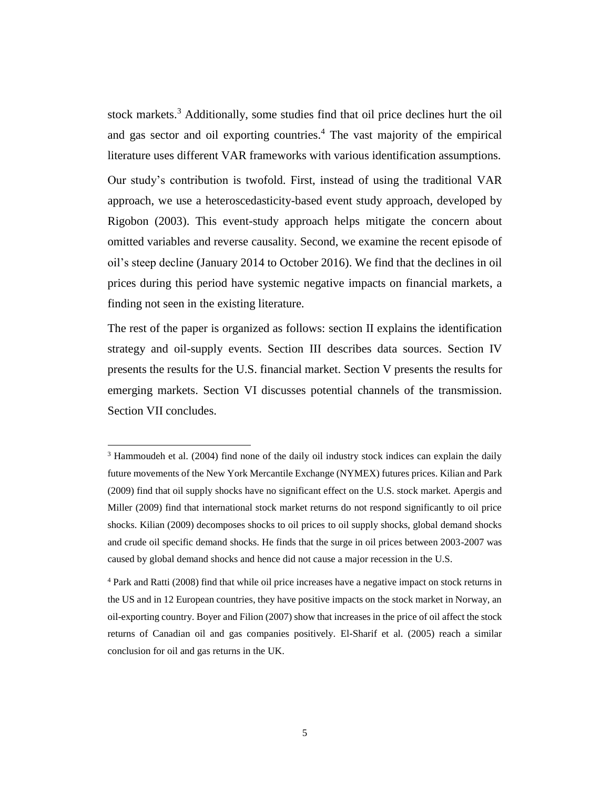stock markets. <sup>3</sup> Additionally, some studies find that oil price declines hurt the oil and gas sector and oil exporting countries. <sup>4</sup> The vast majority of the empirical literature uses different VAR frameworks with various identification assumptions.

Our study's contribution is twofold. First, instead of using the traditional VAR approach, we use a heteroscedasticity-based event study approach, developed by Rigobon (2003). This event-study approach helps mitigate the concern about omitted variables and reverse causality. Second, we examine the recent episode of oil's steep decline (January 2014 to October 2016). We find that the declines in oil prices during this period have systemic negative impacts on financial markets, a finding not seen in the existing literature.

The rest of the paper is organized as follows: section II explains the identification strategy and oil-supply events. Section III describes data sources. Section IV presents the results for the U.S. financial market. Section V presents the results for emerging markets. Section VI discusses potential channels of the transmission. Section VII concludes.

<sup>&</sup>lt;sup>3</sup> Hammoudeh et al. (2004) find none of the daily oil industry stock indices can explain the daily future movements of the New York Mercantile Exchange (NYMEX) futures prices. Kilian and Park (2009) find that oil supply shocks have no significant effect on the U.S. stock market. Apergis and Miller (2009) find that international stock market returns do not respond significantly to oil price shocks. Kilian (2009) decomposes shocks to oil prices to oil supply shocks, global demand shocks and crude oil specific demand shocks. He finds that the surge in oil prices between 2003-2007 was caused by global demand shocks and hence did not cause a major recession in the U.S.

<sup>4</sup> Park and Ratti (2008) find that while oil price increases have a negative impact on stock returns in the US and in 12 European countries, they have positive impacts on the stock market in Norway, an oil-exporting country. Boyer and Filion (2007) show that increases in the price of oil affect the stock returns of Canadian oil and gas companies positively. El-Sharif et al. (2005) reach a similar conclusion for oil and gas returns in the UK.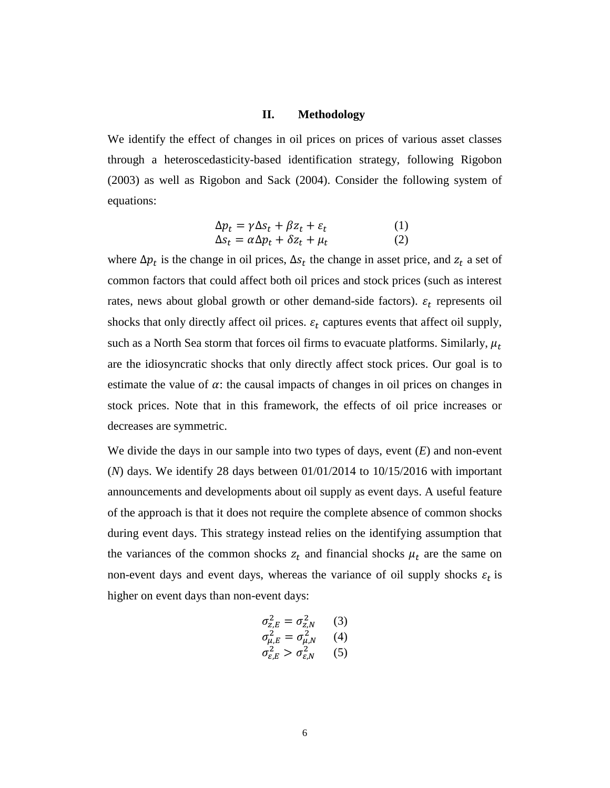## **II. Methodology**

<span id="page-5-0"></span>We identify the effect of changes in oil prices on prices of various asset classes through a heteroscedasticity-based identification strategy, following Rigobon (2003) as well as Rigobon and Sack (2004). Consider the following system of equations:

$$
\Delta p_t = \gamma \Delta s_t + \beta z_t + \varepsilon_t \tag{1}
$$
\n
$$
\Delta s_t = \alpha \Delta p_t + \delta z_t + \mu_t \tag{2}
$$

where  $\Delta p_t$  is the change in oil prices,  $\Delta s_t$  the change in asset price, and  $z_t$  a set of common factors that could affect both oil prices and stock prices (such as interest rates, news about global growth or other demand-side factors).  $\varepsilon_t$  represents oil shocks that only directly affect oil prices.  $\varepsilon_t$  captures events that affect oil supply, such as a North Sea storm that forces oil firms to evacuate platforms. Similarly,  $\mu_t$ are the idiosyncratic shocks that only directly affect stock prices. Our goal is to estimate the value of  $\alpha$ : the causal impacts of changes in oil prices on changes in stock prices. Note that in this framework, the effects of oil price increases or decreases are symmetric.

We divide the days in our sample into two types of days, event (*E*) and non-event (*N*) days. We identify 28 days between 01/01/2014 to 10/15/2016 with important announcements and developments about oil supply as event days. A useful feature of the approach is that it does not require the complete absence of common shocks during event days. This strategy instead relies on the identifying assumption that the variances of the common shocks  $z_t$  and financial shocks  $\mu_t$  are the same on non-event days and event days, whereas the variance of oil supply shocks  $\varepsilon_t$  is higher on event days than non-event days:

$$
\sigma_{z,E}^2 = \sigma_{z,N}^2 \qquad (3)
$$
  
\n
$$
\sigma_{\mu,E}^2 = \sigma_{\mu,N}^2 \qquad (4)
$$
  
\n
$$
\sigma_{\varepsilon,E}^2 > \sigma_{\varepsilon,N}^2 \qquad (5)
$$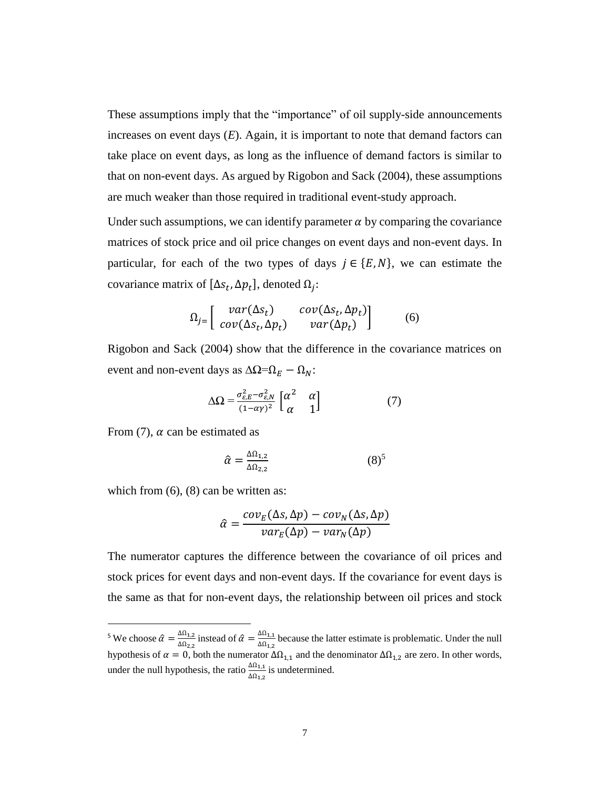These assumptions imply that the "importance" of oil supply-side announcements increases on event days (*E*). Again, it is important to note that demand factors can take place on event days, as long as the influence of demand factors is similar to that on non-event days. As argued by Rigobon and Sack (2004), these assumptions are much weaker than those required in traditional event-study approach.

Under such assumptions, we can identify parameter  $\alpha$  by comparing the covariance matrices of stock price and oil price changes on event days and non-event days. In particular, for each of the two types of days  $j \in \{E, N\}$ , we can estimate the covariance matrix of  $[\Delta s_t, \Delta p_t]$ , denoted  $\Omega_j$ :

$$
\Omega_j = \begin{bmatrix} var(\Delta s_t) & cov(\Delta s_t, \Delta p_t) \\ cov(\Delta s_t, \Delta p_t) & var(\Delta p_t) \end{bmatrix}
$$
 (6)

Rigobon and Sack (2004) show that the difference in the covariance matrices on event and non-event days as  $\Delta \Omega = \Omega_E - \Omega_N$ :

$$
\Delta\Omega = \frac{\sigma_{\varepsilon,E}^2 - \sigma_{\varepsilon,N}^2}{(1 - \alpha \gamma)^2} \begin{bmatrix} \alpha^2 & \alpha \\ \alpha & 1 \end{bmatrix}
$$
 (7)

From  $(7)$ ,  $\alpha$  can be estimated as

 $\overline{a}$ 

$$
\hat{\alpha} = \frac{\Delta \Omega_{1,2}}{\Delta \Omega_{2,2}} \tag{8}^5
$$

which from  $(6)$ ,  $(8)$  can be written as:

$$
\hat{\alpha} = \frac{cov_E(\Delta s, \Delta p) - cov_N(\Delta s, \Delta p)}{var_E(\Delta p) - var_N(\Delta p)}
$$

The numerator captures the difference between the covariance of oil prices and stock prices for event days and non-event days. If the covariance for event days is the same as that for non-event days, the relationship between oil prices and stock

<sup>&</sup>lt;sup>5</sup> We choose  $\hat{\alpha} = \frac{\Delta \Omega_{1,2}}{\Delta \Omega}$  $\frac{\Delta\Omega_{1,2}}{\Delta\Omega_{2,2}}$  instead of  $\hat{\alpha} = \frac{\Delta\Omega_{1,1}}{\Delta\Omega_{1,2}}$  $\frac{\Delta\Omega_{1,1}}{\Delta\Omega_{1,2}}$  because the latter estimate is problematic. Under the null hypothesis of  $\alpha = 0$ , both the numerator  $\Delta\Omega_{1,1}$  and the denominator  $\Delta\Omega_{1,2}$  are zero. In other words, under the null hypothesis, the ratio  $\frac{\Delta \Omega_{1,1}}{\Delta \Omega_{1,2}}$  is undetermined.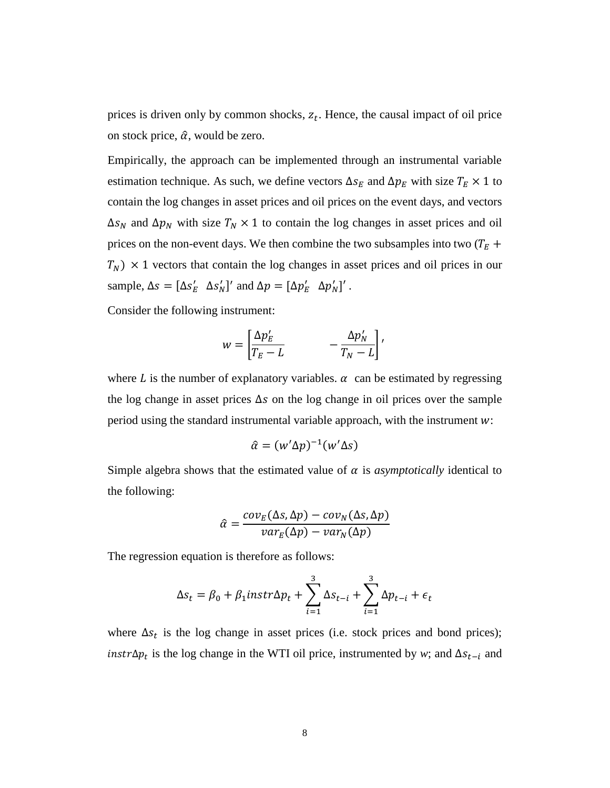prices is driven only by common shocks,  $z_t$ . Hence, the causal impact of oil price on stock price,  $\hat{\alpha}$ , would be zero.

Empirically, the approach can be implemented through an instrumental variable estimation technique. As such, we define vectors  $\Delta s_E$  and  $\Delta p_E$  with size  $T_E \times 1$  to contain the log changes in asset prices and oil prices on the event days, and vectors  $\Delta s_N$  and  $\Delta p_N$  with size  $T_N \times 1$  to contain the log changes in asset prices and oil prices on the non-event days. We then combine the two subsamples into two  $(T_E +$  $T_N$ )  $\times$  1 vectors that contain the log changes in asset prices and oil prices in our sample,  $\Delta s = [\Delta s'_E \ \Delta s'_N]'$  and  $\Delta p = [\Delta p'_E \ \Delta p'_N]'$ .

Consider the following instrument:

$$
w = \left[\frac{\Delta p_E'}{T_E - L} \qquad -\frac{\Delta p_N'}{T_N - L}\right],
$$

where L is the number of explanatory variables.  $\alpha$  can be estimated by regressing the log change in asset prices  $\Delta s$  on the log change in oil prices over the sample period using the standard instrumental variable approach, with the instrument  $w$ :

$$
\hat{\alpha} = (w' \Delta p)^{-1} (w' \Delta s)
$$

Simple algebra shows that the estimated value of  $\alpha$  is *asymptotically* identical to the following:

$$
\hat{\alpha} = \frac{cov_E(\Delta s, \Delta p) - cov_N(\Delta s, \Delta p)}{var_E(\Delta p) - var_N(\Delta p)}
$$

The regression equation is therefore as follows:

$$
\Delta s_t = \beta_0 + \beta_1 instr \Delta p_t + \sum_{i=1}^3 \Delta s_{t-i} + \sum_{i=1}^3 \Delta p_{t-i} + \epsilon_t
$$

where  $\Delta s_t$  is the log change in asset prices (i.e. stock prices and bond prices); *instr* $\Delta p_t$  is the log change in the WTI oil price, instrumented by *w*; and  $\Delta s_{t-i}$  and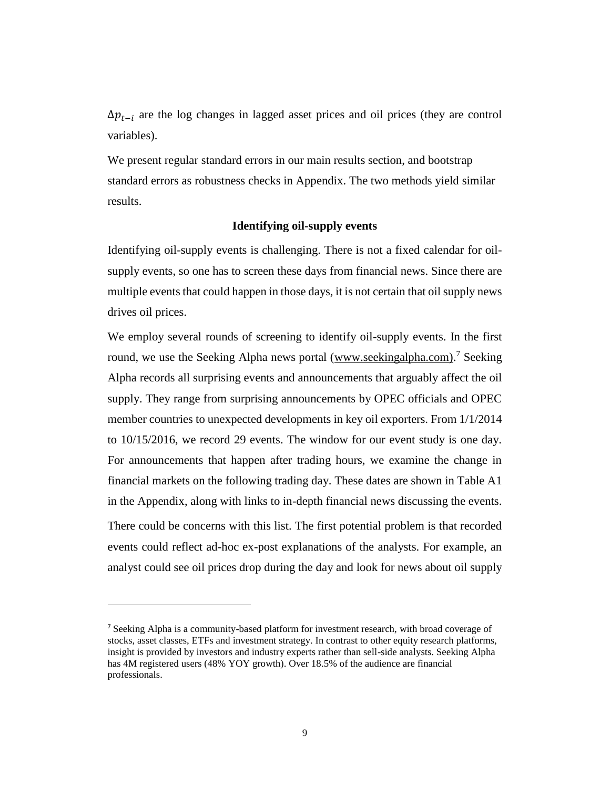$\Delta p_{t-i}$  are the log changes in lagged asset prices and oil prices (they are control variables).

We present regular standard errors in our main results section, and bootstrap standard errors as robustness checks in Appendix. The two methods yield similar results.

### **Identifying oil-supply events**

<span id="page-8-0"></span>Identifying oil-supply events is challenging. There is not a fixed calendar for oilsupply events, so one has to screen these days from financial news. Since there are multiple events that could happen in those days, it is not certain that oil supply news drives oil prices.

We employ several rounds of screening to identify oil-supply events. In the first round, we use the Seeking Alpha news portal [\(www.seekingalpha.com\).](http://www.seekingalpha.com)/)<sup>7</sup> Seeking Alpha records all surprising events and announcements that arguably affect the oil supply. They range from surprising announcements by OPEC officials and OPEC member countries to unexpected developments in key oil exporters. From 1/1/2014 to 10/15/2016, we record 29 events. The window for our event study is one day. For announcements that happen after trading hours, we examine the change in financial markets on the following trading day. These dates are shown in Table A1 in the Appendix, along with links to in-depth financial news discussing the events. There could be concerns with this list. The first potential problem is that recorded events could reflect ad-hoc ex-post explanations of the analysts. For example, an analyst could see oil prices drop during the day and look for news about oil supply

<sup>7</sup> Seeking Alpha is a community-based platform for investment research, with broad coverage of stocks, asset classes, ETFs and investment strategy. In contrast to other equity research platforms, insight is provided by investors and industry experts rather than sell-side analysts. Seeking Alpha has 4M registered users (48% YOY growth). Over 18.5% of the audience are financial professionals.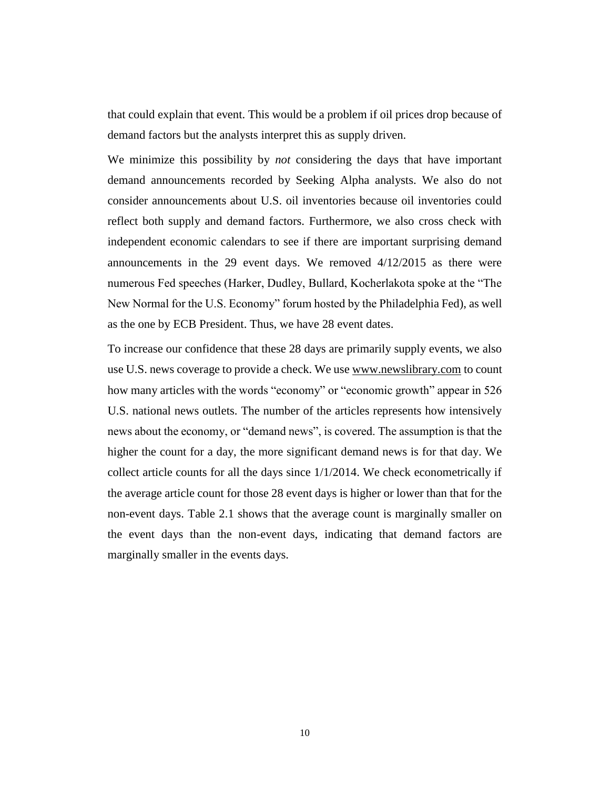that could explain that event. This would be a problem if oil prices drop because of demand factors but the analysts interpret this as supply driven.

We minimize this possibility by *not* considering the days that have important demand announcements recorded by Seeking Alpha analysts. We also do not consider announcements about U.S. oil inventories because oil inventories could reflect both supply and demand factors. Furthermore, we also cross check with independent economic calendars to see if there are important surprising demand announcements in the 29 event days. We removed 4/12/2015 as there were numerous Fed speeches (Harker, Dudley, Bullard, Kocherlakota spoke at the "The New Normal for the U.S. Economy" forum hosted by the Philadelphia Fed), as well as the one by ECB President. Thus, we have 28 event dates.

To increase our confidence that these 28 days are primarily supply events, we also use U.S. news coverage to provide a check. We us[e www.newslibrary.com](http://www.newslibrary.com/) to count how many articles with the words "economy" or "economic growth" appear in 526 U.S. national news outlets. The number of the articles represents how intensively news about the economy, or "demand news", is covered. The assumption is that the higher the count for a day, the more significant demand news is for that day. We collect article counts for all the days since 1/1/2014. We check econometrically if the average article count for those 28 event days is higher or lower than that for the non-event days. Table 2.1 shows that the average count is marginally smaller on the event days than the non-event days, indicating that demand factors are marginally smaller in the events days.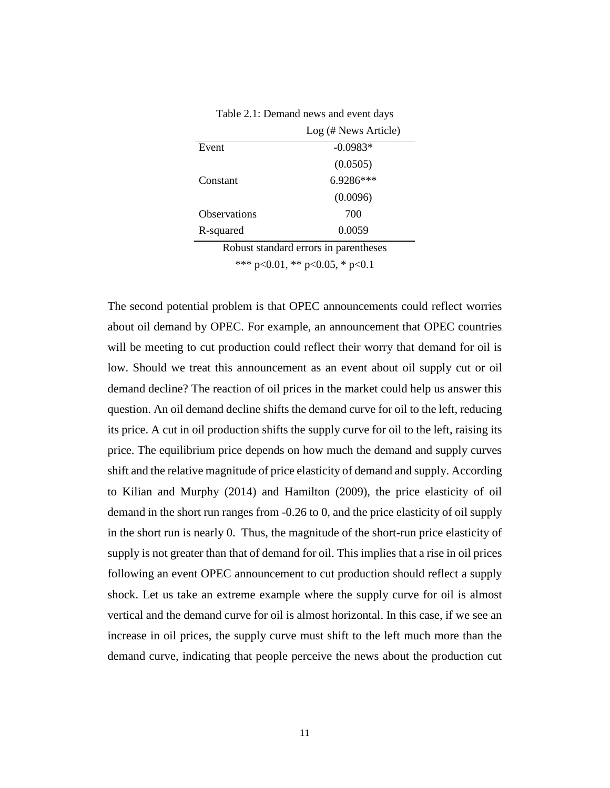Table 2.1: Demand news and event days

<span id="page-10-0"></span>

|                                       | Log (# News Article) |  |  |
|---------------------------------------|----------------------|--|--|
| Event                                 | $-0.0983*$           |  |  |
|                                       | (0.0505)             |  |  |
| Constant                              | 6.9286***            |  |  |
|                                       | (0.0096)             |  |  |
| <b>Observations</b>                   | 700                  |  |  |
| R-squared                             | 0.0059               |  |  |
| Robust standard errors in parentheses |                      |  |  |

\*\*\* p<0.01, \*\* p<0.05, \* p<0.1

The second potential problem is that OPEC announcements could reflect worries about oil demand by OPEC. For example, an announcement that OPEC countries will be meeting to cut production could reflect their worry that demand for oil is low. Should we treat this announcement as an event about oil supply cut or oil demand decline? The reaction of oil prices in the market could help us answer this question. An oil demand decline shifts the demand curve for oil to the left, reducing its price. A cut in oil production shifts the supply curve for oil to the left, raising its price. The equilibrium price depends on how much the demand and supply curves shift and the relative magnitude of price elasticity of demand and supply. According to Kilian and Murphy (2014) and Hamilton (2009), the price elasticity of oil demand in the short run ranges from -0.26 to 0, and the price elasticity of oil supply in the short run is nearly 0. Thus, the magnitude of the short-run price elasticity of supply is not greater than that of demand for oil. This implies that a rise in oil prices following an event OPEC announcement to cut production should reflect a supply shock. Let us take an extreme example where the supply curve for oil is almost vertical and the demand curve for oil is almost horizontal. In this case, if we see an increase in oil prices, the supply curve must shift to the left much more than the demand curve, indicating that people perceive the news about the production cut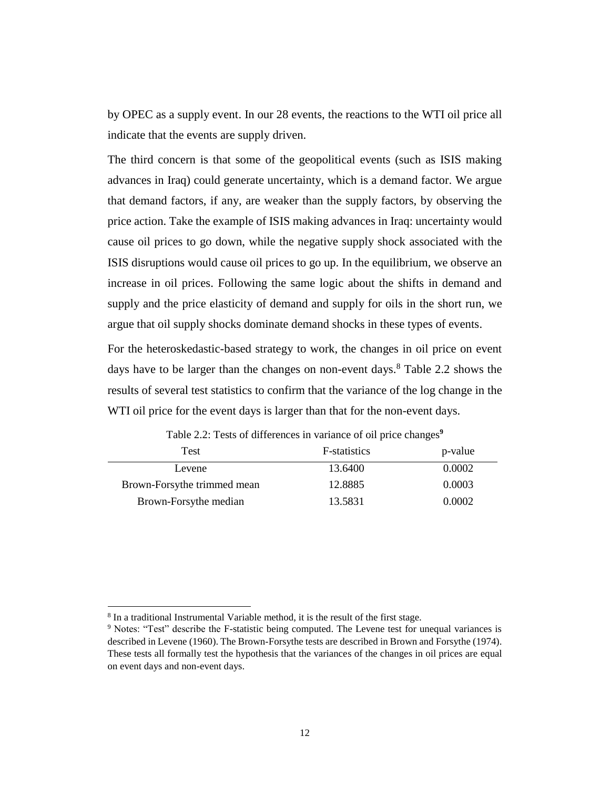by OPEC as a supply event. In our 28 events, the reactions to the WTI oil price all indicate that the events are supply driven.

The third concern is that some of the geopolitical events (such as ISIS making advances in Iraq) could generate uncertainty, which is a demand factor. We argue that demand factors, if any, are weaker than the supply factors, by observing the price action. Take the example of ISIS making advances in Iraq: uncertainty would cause oil prices to go down, while the negative supply shock associated with the ISIS disruptions would cause oil prices to go up. In the equilibrium, we observe an increase in oil prices. Following the same logic about the shifts in demand and supply and the price elasticity of demand and supply for oils in the short run, we argue that oil supply shocks dominate demand shocks in these types of events.

For the heteroskedastic-based strategy to work, the changes in oil price on event days have to be larger than the changes on non-event days. <sup>8</sup> Table 2.2 shows the results of several test statistics to confirm that the variance of the log change in the WTI oil price for the event days is larger than that for the non-event days.

<span id="page-11-0"></span>

| Test                        | <b>F</b> -statistics | p-value |
|-----------------------------|----------------------|---------|
| Levene                      | 13.6400              | 0.0002  |
| Brown-Forsythe trimmed mean | 12.8885              | 0.0003  |
| Brown-Forsythe median       | 13.5831              | 0.0002  |

Table 2.2: Tests of differences in variance of oil price changes**<sup>9</sup>**

<sup>&</sup>lt;sup>8</sup> In a traditional Instrumental Variable method, it is the result of the first stage.

<sup>9</sup> Notes: "Test" describe the F-statistic being computed. The Levene test for unequal variances is described in Levene (1960). The Brown-Forsythe tests are described in Brown and Forsythe (1974). These tests all formally test the hypothesis that the variances of the changes in oil prices are equal on event days and non-event days.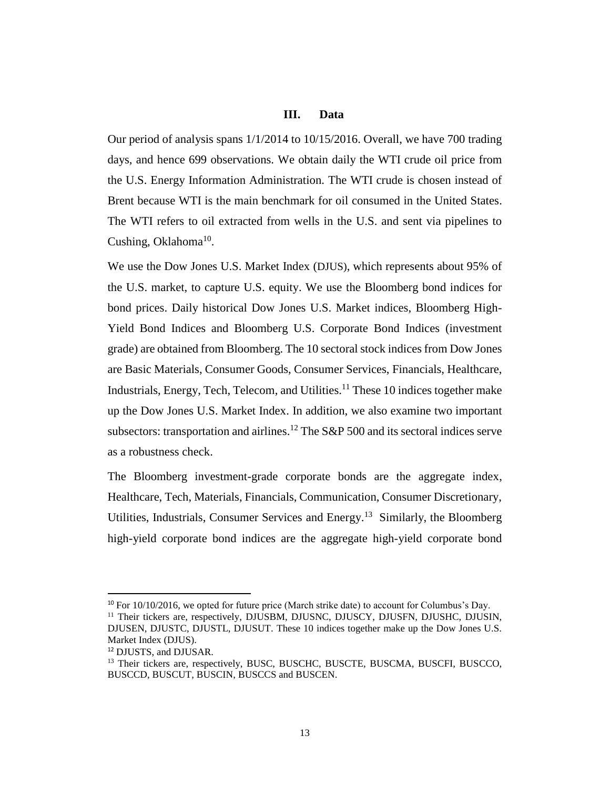### **III. Data**

<span id="page-12-0"></span>Our period of analysis spans  $1/1/2014$  to  $10/15/2016$ . Overall, we have 700 trading days, and hence 699 observations. We obtain daily the WTI crude oil price from the U.S. Energy Information Administration. The WTI crude is chosen instead of Brent because WTI is the main benchmark for oil consumed in the United States. The WTI refers to oil extracted from wells in the U.S. and sent via pipelines to Cushing, Oklahoma<sup>10</sup>.

We use the Dow Jones U.S. Market Index (DJUS), which represents about 95% of the U.S. market, to capture U.S. equity. We use the Bloomberg bond indices for bond prices. Daily historical Dow Jones U.S. Market indices, Bloomberg High-Yield Bond Indices and Bloomberg U.S. Corporate Bond Indices (investment grade) are obtained from Bloomberg. The 10 sectoral stock indices from Dow Jones are Basic Materials, Consumer Goods, Consumer Services, Financials, Healthcare, Industrials, Energy, Tech, Telecom, and Utilities.<sup>11</sup> These 10 indices together make up the Dow Jones U.S. Market Index. In addition, we also examine two important subsectors: transportation and airlines.<sup>12</sup> The S&P 500 and its sectoral indices serve as a robustness check.

The Bloomberg investment-grade corporate bonds are the aggregate index, Healthcare, Tech, Materials, Financials, Communication, Consumer Discretionary, Utilities, Industrials, Consumer Services and Energy.<sup>13</sup> Similarly, the Bloomberg high-yield corporate bond indices are the aggregate high-yield corporate bond

 $10$  For 10/10/2016, we opted for future price (March strike date) to account for Columbus's Day. <sup>11</sup> Their tickers are, respectively, DJUSBM, DJUSNC, DJUSCY, DJUSFN, DJUSHC, DJUSIN,

DJUSEN, DJUSTC, DJUSTL, DJUSUT. These 10 indices together make up the Dow Jones U.S. Market Index (DJUS).

<sup>12</sup> DJUSTS, and DJUSAR.

<sup>&</sup>lt;sup>13</sup> Their tickers are, respectively, BUSC, BUSCHC, BUSCTE, BUSCMA, BUSCFI, BUSCCO, BUSCCD, BUSCUT, BUSCIN, BUSCCS and BUSCEN.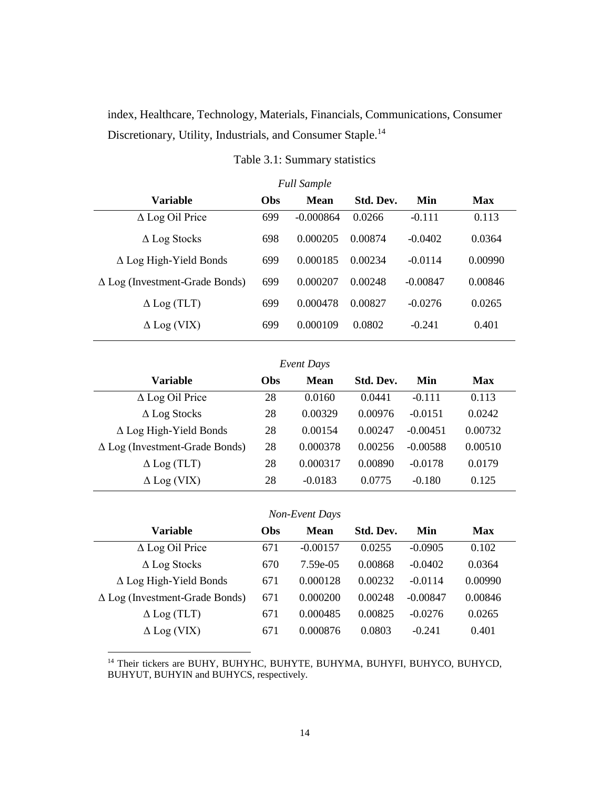index, Healthcare, Technology, Materials, Financials, Communications, Consumer Discretionary, Utility, Industrials, and Consumer Staple.<sup>14</sup>

<span id="page-13-0"></span>

| <b>Full Sample</b>                    |                                               |             |         |            |         |  |  |  |
|---------------------------------------|-----------------------------------------------|-------------|---------|------------|---------|--|--|--|
| <b>Variable</b>                       | Std. Dev.<br><b>Obs</b><br>Mean<br>Min<br>Max |             |         |            |         |  |  |  |
| $\Delta$ Log Oil Price                | 699                                           | $-0.000864$ | 0.0266  | $-0.111$   | 0.113   |  |  |  |
| $\Delta$ Log Stocks                   | 698                                           | 0.000205    | 0.00874 | $-0.0402$  | 0.0364  |  |  |  |
| $\Delta$ Log High-Yield Bonds         | 699                                           | 0.000185    | 0.00234 | $-0.0114$  | 0.00990 |  |  |  |
| $\Delta$ Log (Investment-Grade Bonds) | 699                                           | 0.000207    | 0.00248 | $-0.00847$ | 0.00846 |  |  |  |
| $\Delta$ Log (TLT)                    | 699                                           | 0.000478    | 0.00827 | $-0.0276$  | 0.0265  |  |  |  |
| $\Delta$ Log (VIX)                    | 699                                           | 0.000109    | 0.0802  | $-0.241$   | 0.401   |  |  |  |

Table 3.1: Summary statistics

| Event Days |  |
|------------|--|
|------------|--|

| <b>Variable</b>                       | <b>Obs</b> | <b>Mean</b> | Std. Dev. | Min        | Max     |
|---------------------------------------|------------|-------------|-----------|------------|---------|
| $\Delta$ Log Oil Price                | 28         | 0.0160      | 0.0441    | $-0.111$   | 0.113   |
| $\Delta$ Log Stocks                   | 28         | 0.00329     | 0.00976   | $-0.0151$  | 0.0242  |
| $\Delta$ Log High-Yield Bonds         | 28         | 0.00154     | 0.00247   | $-0.00451$ | 0.00732 |
| $\Delta$ Log (Investment-Grade Bonds) | 28         | 0.000378    | 0.00256   | $-0.00588$ | 0.00510 |
| $\Delta$ Log (TLT)                    | 28         | 0.000317    | 0.00890   | $-0.0178$  | 0.0179  |
| $\Delta$ Log (VIX)                    | 28         | $-0.0183$   | 0.0775    | $-0.180$   | 0.125   |

### *Non-Event Days*

| <b>Variable</b>                       | <b>Obs</b> | <b>Mean</b> | Std. Dev. | Min        | Max     |
|---------------------------------------|------------|-------------|-----------|------------|---------|
| $\Delta$ Log Oil Price                | 671        | $-0.00157$  | 0.0255    | $-0.0905$  | 0.102   |
| $\Delta$ Log Stocks                   | 670        | 7.59e-05    | 0.00868   | $-0.0402$  | 0.0364  |
| $\Delta$ Log High-Yield Bonds         | 671        | 0.000128    | 0.00232   | $-0.0114$  | 0.00990 |
| $\Delta$ Log (Investment-Grade Bonds) | 671        | 0.000200    | 0.00248   | $-0.00847$ | 0.00846 |
| $\Delta$ Log (TLT)                    | 671        | 0.000485    | 0.00825   | $-0.0276$  | 0.0265  |
| $\Delta$ Log (VIX)                    | 671        | 0.000876    | 0.0803    | $-0.241$   | 0.401   |

<sup>14</sup> Their tickers are BUHY, BUHYHC, BUHYTE, BUHYMA, BUHYFI, BUHYCO, BUHYCD, BUHYUT, BUHYIN and BUHYCS, respectively.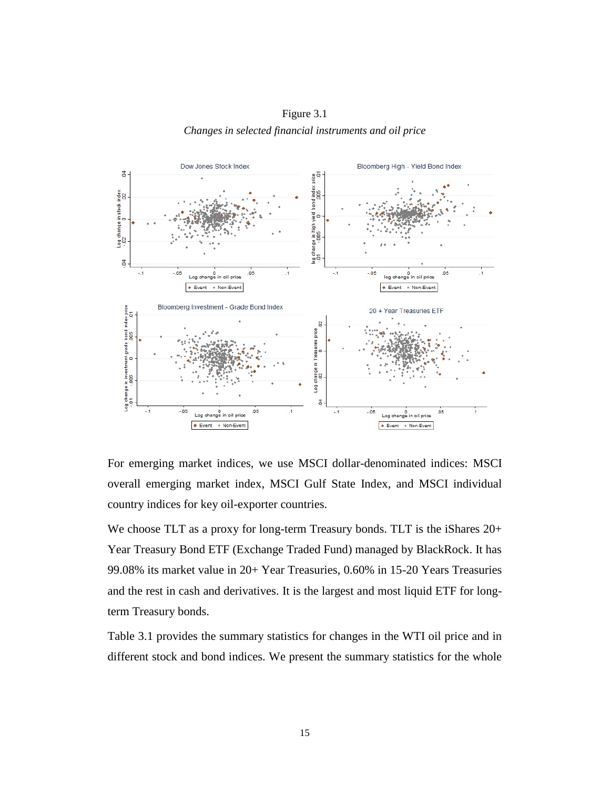Figure 3.1 *Changes in selected financial instruments and oil price*



For emerging market indices, we use MSCI dollar-denominated indices: MSCI overall emerging market index, MSCI Gulf State Index, and MSCI individual country indices for key oil-exporter countries.

We choose TLT as a proxy for long-term Treasury bonds. TLT is the iShares  $20+$ Year Treasury Bond ETF (Exchange Traded Fund) managed by BlackRock. It has 99.08% its market value in 20+ Year Treasuries, 0.60% in 15-20 Years Treasuries and the rest in cash and derivatives. It is the largest and most liquid ETF for longterm Treasury bonds.

Table 3.1 provides the summary statistics for changes in the WTI oil price and in different stock and bond indices. We present the summary statistics for the whole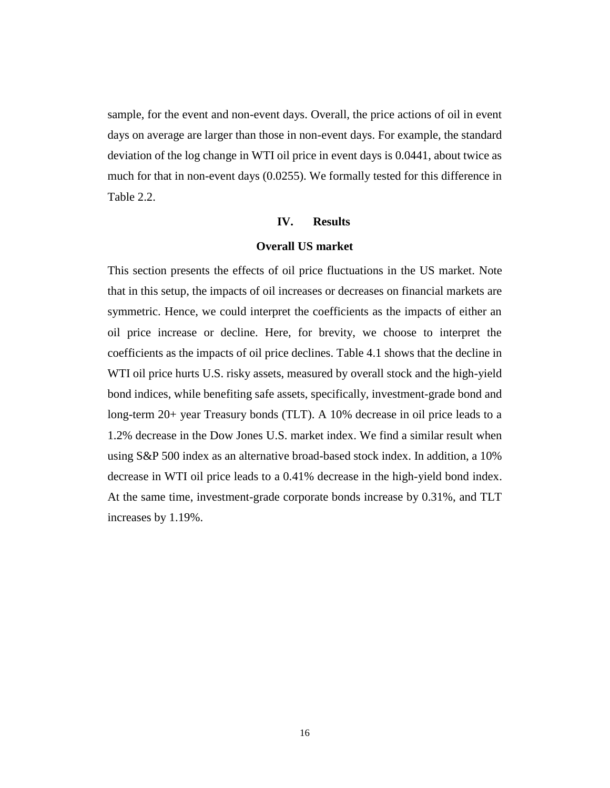sample, for the event and non-event days. Overall, the price actions of oil in event days on average are larger than those in non-event days. For example, the standard deviation of the log change in WTI oil price in event days is 0.0441, about twice as much for that in non-event days (0.0255). We formally tested for this difference in Table 2.2.

### **IV. Results**

## **Overall US market**

<span id="page-15-1"></span><span id="page-15-0"></span>This section presents the effects of oil price fluctuations in the US market. Note that in this setup, the impacts of oil increases or decreases on financial markets are symmetric. Hence, we could interpret the coefficients as the impacts of either an oil price increase or decline. Here, for brevity, we choose to interpret the coefficients as the impacts of oil price declines. Table 4.1 shows that the decline in WTI oil price hurts U.S. risky assets, measured by overall stock and the high-yield bond indices, while benefiting safe assets, specifically, investment-grade bond and long-term 20+ year Treasury bonds (TLT). A 10% decrease in oil price leads to a 1.2% decrease in the Dow Jones U.S. market index. We find a similar result when using S&P 500 index as an alternative broad-based stock index. In addition, a 10% decrease in WTI oil price leads to a 0.41% decrease in the high-yield bond index. At the same time, investment-grade corporate bonds increase by 0.31%, and TLT increases by 1.19%.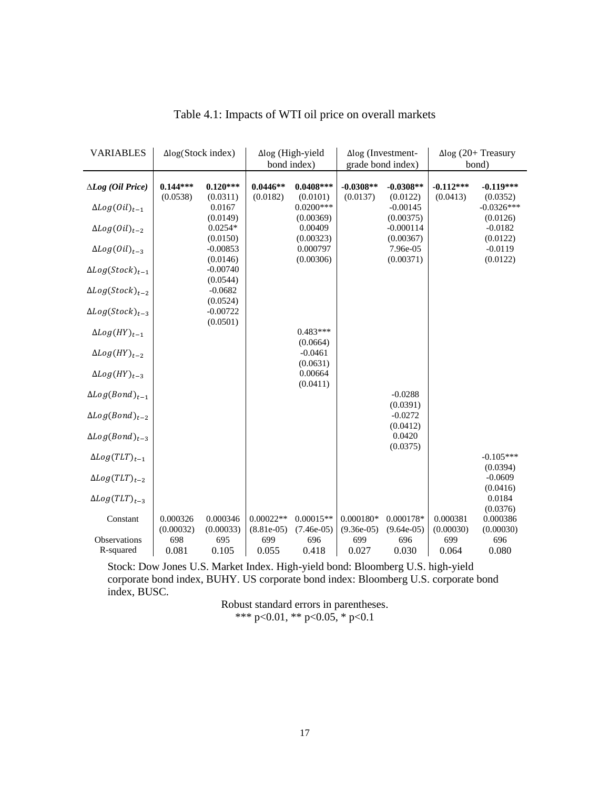<span id="page-16-0"></span>

| <b>VARIABLES</b>          | $\Delta$ log(Stock index) |                    |              | $\Delta$ log (High-yield | $\Delta$ log (Investment- |                         |             | $\Delta$ log (20+ Treasury |
|---------------------------|---------------------------|--------------------|--------------|--------------------------|---------------------------|-------------------------|-------------|----------------------------|
|                           |                           |                    |              | bond index)              | grade bond index)         |                         | bond)       |                            |
|                           |                           |                    |              |                          |                           |                         |             |                            |
| $\Delta Log$ (Oil Price)  | $0.144***$                | $0.120***$         | $0.0446**$   | $0.0408***$              | $-0.0308**$               | $-0.0308**$             | $-0.112***$ | $-0.119***$                |
|                           | (0.0538)                  | (0.0311)           | (0.0182)     | (0.0101)<br>$0.0200***$  | (0.0137)                  | (0.0122)                | (0.0413)    | (0.0352)                   |
| $\Delta Log(0il)_{t-1}$   |                           | 0.0167<br>(0.0149) |              | (0.00369)                |                           | $-0.00145$<br>(0.00375) |             | $-0.0326***$<br>(0.0126)   |
| $\Delta Log(0il)_{t-2}$   |                           | $0.0254*$          |              | 0.00409                  |                           | $-0.000114$             |             | $-0.0182$                  |
|                           |                           | (0.0150)           |              | (0.00323)                |                           | (0.00367)               |             | (0.0122)                   |
| $\Delta Log(0il)_{t-3}$   |                           | $-0.00853$         |              | 0.000797                 |                           | 7.96e-05                |             | $-0.0119$                  |
|                           |                           | (0.0146)           |              | (0.00306)                |                           | (0.00371)               |             | (0.0122)                   |
| $\Delta Log(Stock)_{t-1}$ |                           | $-0.00740$         |              |                          |                           |                         |             |                            |
|                           |                           | (0.0544)           |              |                          |                           |                         |             |                            |
| $\Delta Log(Stock)_{t-2}$ |                           | $-0.0682$          |              |                          |                           |                         |             |                            |
|                           |                           | (0.0524)           |              |                          |                           |                         |             |                            |
| $\Delta Log(Stock)_{t-3}$ |                           | $-0.00722$         |              |                          |                           |                         |             |                            |
|                           |                           | (0.0501)           |              |                          |                           |                         |             |                            |
| $\Delta Log(HY)_{t-1}$    |                           |                    |              | $0.483***$               |                           |                         |             |                            |
|                           |                           |                    |              | (0.0664)                 |                           |                         |             |                            |
| $\Delta Log(HY)_{t-2}$    |                           |                    |              | $-0.0461$                |                           |                         |             |                            |
|                           |                           |                    |              | (0.0631)                 |                           |                         |             |                            |
| $\Delta Log(HY)_{t-3}$    |                           |                    |              | 0.00664<br>(0.0411)      |                           |                         |             |                            |
| $\Delta Log(Bond)_{t-1}$  |                           |                    |              |                          |                           | $-0.0288$               |             |                            |
|                           |                           |                    |              |                          |                           | (0.0391)                |             |                            |
| $\Delta Log(Bond)_{t-2}$  |                           |                    |              |                          |                           | $-0.0272$               |             |                            |
|                           |                           |                    |              |                          |                           | (0.0412)                |             |                            |
| $\Delta Log(Bond)_{t-3}$  |                           |                    |              |                          |                           | 0.0420                  |             |                            |
|                           |                           |                    |              |                          |                           | (0.0375)                |             |                            |
| $\Delta Log(TLT)_{t-1}$   |                           |                    |              |                          |                           |                         |             | $-0.105***$                |
|                           |                           |                    |              |                          |                           |                         |             | (0.0394)                   |
| $\Delta Log(TLT)_{t-2}$   |                           |                    |              |                          |                           |                         |             | $-0.0609$                  |
|                           |                           |                    |              |                          |                           |                         |             | (0.0416)                   |
| $\Delta Log(TLT)_{t-3}$   |                           |                    |              |                          |                           |                         |             | 0.0184                     |
|                           | 0.000326                  | 0.000346           | $0.00022**$  | $0.00015**$              | $0.000180*$               | 0.000178*               | 0.000381    | (0.0376)<br>0.000386       |
| Constant                  | (0.00032)                 | (0.00033)          | $(8.81e-05)$ | $(7.46e-05)$             | $(9.36e-05)$              | $(9.64e-05)$            | (0.00030)   | (0.00030)                  |
| Observations              | 698                       |                    | 699          | 696                      | 699                       | 696                     | 699         | 696                        |
|                           |                           |                    |              |                          |                           |                         |             |                            |
| R-squared                 | 0.081                     | 695<br>0.105       | 0.055        | 0.418                    | 0.027                     | 0.030                   | 0.064       | 0.080                      |

Table 4.1: Impacts of WTI oil price on overall markets

Stock: Dow Jones U.S. Market Index. High-yield bond: Bloomberg U.S. high-yield corporate bond index, BUHY. US corporate bond index: Bloomberg U.S. corporate bond index, BUSC.

Robust standard errors in parentheses. \*\*\* p<0.01, \*\* p<0.05, \* p<0.1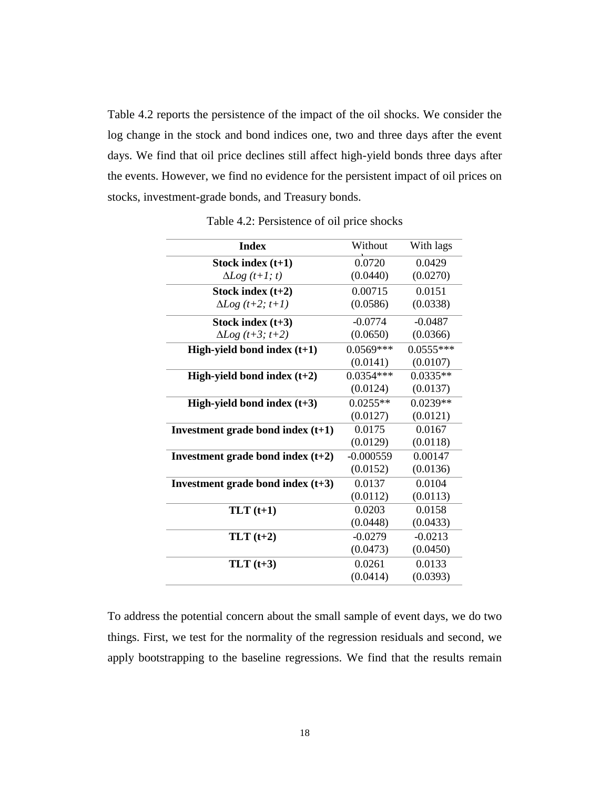Table 4.2 reports the persistence of the impact of the oil shocks. We consider the log change in the stock and bond indices one, two and three days after the event days. We find that oil price declines still affect high-yield bonds three days after the events. However, we find no evidence for the persistent impact of oil prices on stocks, investment-grade bonds, and Treasury bonds.

<span id="page-17-0"></span>

| <b>Index</b>                        | Without     | With lags   |
|-------------------------------------|-------------|-------------|
| Stock index $(t+1)$                 | 0.0720      | 0.0429      |
| $\Delta Log$ $(t+1; t)$             | (0.0440)    | (0.0270)    |
| Stock index $(t+2)$                 | 0.00715     | 0.0151      |
| $\Delta Log$ (t+2; t+1)             | (0.0586)    | (0.0338)    |
| Stock index $(t+3)$                 | $-0.0774$   | $-0.0487$   |
| $\Delta Log$ (t+3; t+2)             | (0.0650)    | (0.0366)    |
| High-yield bond index $(t+1)$       | $0.0569***$ | $0.0555***$ |
|                                     | (0.0141)    | (0.0107)    |
| High-yield bond index $(t+2)$       | $0.0354***$ | $0.0335**$  |
|                                     | (0.0124)    | (0.0137)    |
| High-yield bond index $(t+3)$       | $0.0255**$  | $0.0239**$  |
|                                     | (0.0127)    | (0.0121)    |
| Investment grade bond index $(t+1)$ | 0.0175      | 0.0167      |
|                                     | (0.0129)    | (0.0118)    |
| Investment grade bond index $(t+2)$ | $-0.000559$ | 0.00147     |
|                                     | (0.0152)    | (0.0136)    |
| Investment grade bond index $(t+3)$ | 0.0137      | 0.0104      |
|                                     | (0.0112)    | (0.0113)    |
| $TLT(t+1)$                          | 0.0203      | 0.0158      |
|                                     | (0.0448)    | (0.0433)    |
| $TLT(t+2)$                          | $-0.0279$   | $-0.0213$   |
|                                     | (0.0473)    | (0.0450)    |
|                                     |             |             |
| $TLT(t+3)$                          | 0.0261      | 0.0133      |

Table 4.2: Persistence of oil price shocks

To address the potential concern about the small sample of event days, we do two things. First, we test for the normality of the regression residuals and second, we apply bootstrapping to the baseline regressions. We find that the results remain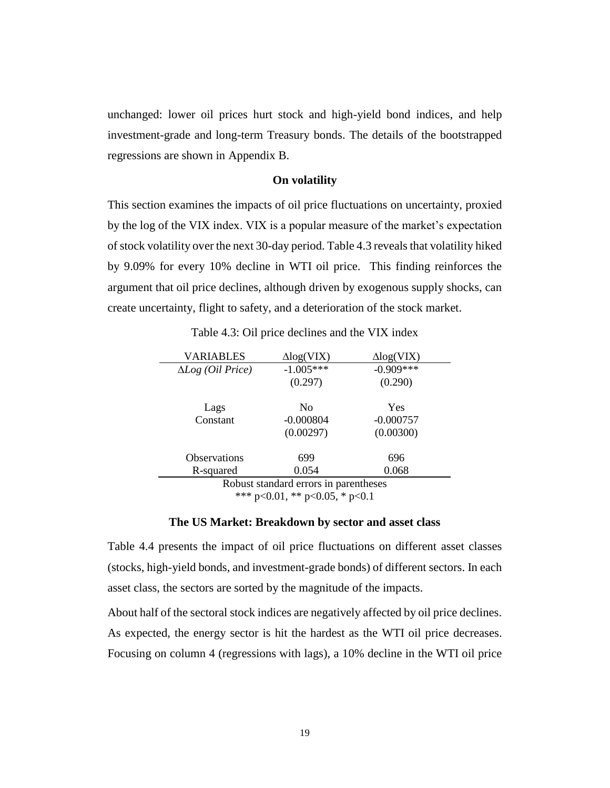unchanged: lower oil prices hurt stock and high-yield bond indices, and help investment-grade and long-term Treasury bonds. The details of the bootstrapped regressions are shown in Appendix B.

### **On volatility**

<span id="page-18-0"></span>This section examines the impacts of oil price fluctuations on uncertainty, proxied by the log of the VIX index. VIX is a popular measure of the market's expectation of stock volatility over the next 30-day period. Table 4.3 reveals that volatility hiked by 9.09% for every 10% decline in WTI oil price. This finding reinforces the argument that oil price declines, although driven by exogenous supply shocks, can create uncertainty, flight to safety, and a deterioration of the stock market.

<span id="page-18-1"></span>

| VARIABLES                         | $\Delta$ log(VIX) | $\Delta$ log(VIX) |
|-----------------------------------|-------------------|-------------------|
| $\Delta Log$ ( <i>Oil Price</i> ) | $-1.005***$       | $-0.909***$       |
|                                   | (0.297)           | (0.290)           |
|                                   |                   |                   |
| Lags                              | N <sub>0</sub>    | Yes               |
| Constant                          | $-0.000804$       | $-0.000757$       |
|                                   | (0.00297)         | (0.00300)         |
| <b>Observations</b>               | 699               | 696               |
|                                   |                   |                   |
| R-squared                         | 0.054             | 0.068             |

Table 4.3: Oil price declines and the VIX index

Robust standard errors in parentheses \*\*\* p<0.01, \*\* p<0.05, \* p<0.1

### **The US Market: Breakdown by sector and asset class**

<span id="page-18-2"></span>Table 4.4 presents the impact of oil price fluctuations on different asset classes (stocks, high-yield bonds, and investment-grade bonds) of different sectors. In each asset class, the sectors are sorted by the magnitude of the impacts.

About half of the sectoral stock indices are negatively affected by oil price declines. As expected, the energy sector is hit the hardest as the WTI oil price decreases. Focusing on column 4 (regressions with lags), a 10% decline in the WTI oil price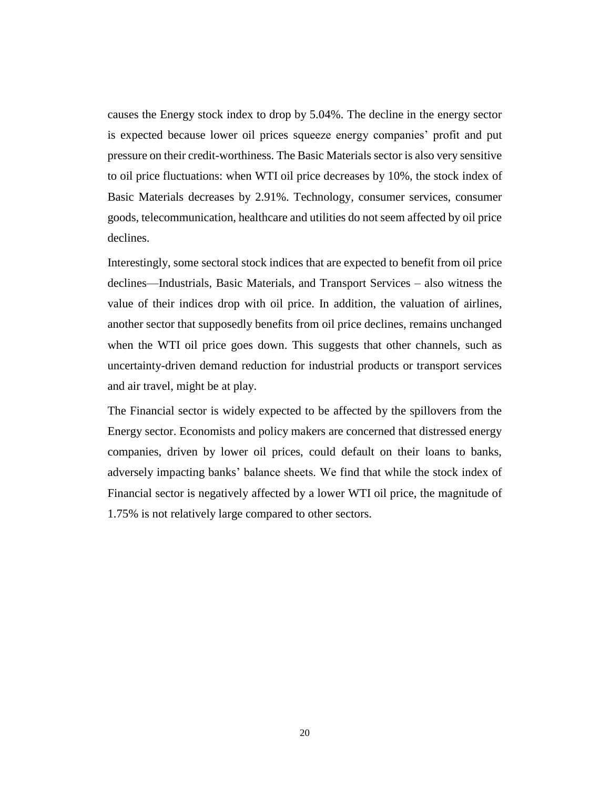causes the Energy stock index to drop by 5.04%. The decline in the energy sector is expected because lower oil prices squeeze energy companies' profit and put pressure on their credit-worthiness. The Basic Materials sector is also very sensitive to oil price fluctuations: when WTI oil price decreases by 10%, the stock index of Basic Materials decreases by 2.91%. Technology, consumer services, consumer goods, telecommunication, healthcare and utilities do not seem affected by oil price declines.

Interestingly, some sectoral stock indices that are expected to benefit from oil price declines—Industrials, Basic Materials, and Transport Services – also witness the value of their indices drop with oil price. In addition, the valuation of airlines, another sector that supposedly benefits from oil price declines, remains unchanged when the WTI oil price goes down. This suggests that other channels, such as uncertainty-driven demand reduction for industrial products or transport services and air travel, might be at play.

The Financial sector is widely expected to be affected by the spillovers from the Energy sector. Economists and policy makers are concerned that distressed energy companies, driven by lower oil prices, could default on their loans to banks, adversely impacting banks' balance sheets. We find that while the stock index of Financial sector is negatively affected by a lower WTI oil price, the magnitude of 1.75% is not relatively large compared to other sectors.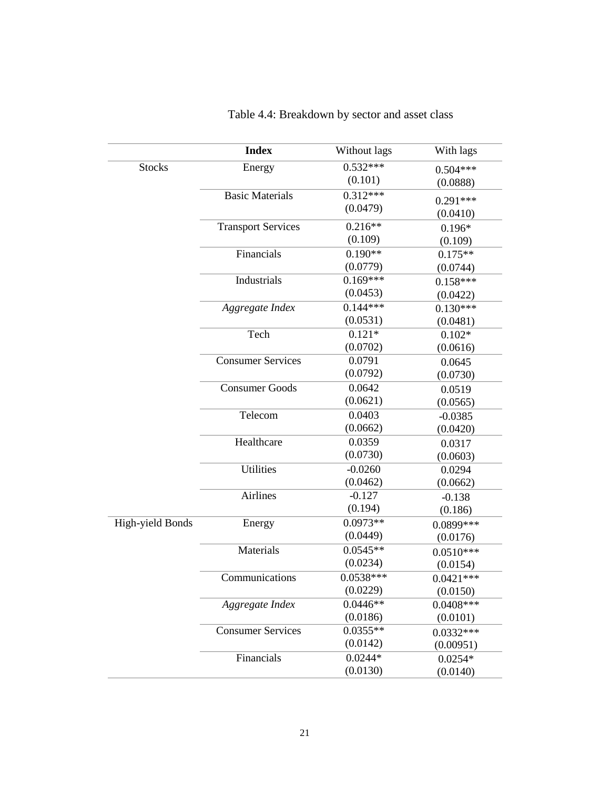|                  | <b>Index</b>              | Without lags           | With lags              |
|------------------|---------------------------|------------------------|------------------------|
| <b>Stocks</b>    | Energy                    | $0.532***$             | $0.504***$             |
|                  |                           | (0.101)                | (0.0888)               |
|                  | <b>Basic Materials</b>    | $0.312***$             | $0.291***$             |
|                  |                           | (0.0479)               | (0.0410)               |
|                  | <b>Transport Services</b> | $0.216**$              | $0.196*$               |
|                  |                           | (0.109)                | (0.109)                |
|                  | Financials                | $0.190**$              | $0.175**$              |
|                  |                           | (0.0779)               | (0.0744)               |
|                  | Industrials               | $0.169***$             | $0.158***$             |
|                  |                           | (0.0453)               | (0.0422)               |
|                  | Aggregate Index           | $0.144***$             | $0.130***$             |
|                  |                           | (0.0531)               | (0.0481)               |
|                  | Tech                      | $0.121*$               | $0.102*$               |
|                  |                           | (0.0702)               | (0.0616)               |
|                  | <b>Consumer Services</b>  | 0.0791                 | 0.0645                 |
|                  |                           | (0.0792)               | (0.0730)               |
|                  | <b>Consumer Goods</b>     | 0.0642                 | 0.0519                 |
|                  |                           | (0.0621)               | (0.0565)               |
|                  | Telecom                   | 0.0403                 | $-0.0385$              |
|                  |                           | (0.0662)               | (0.0420)               |
|                  | Healthcare                | 0.0359                 | 0.0317                 |
|                  |                           | (0.0730)               | (0.0603)               |
|                  | <b>Utilities</b>          | $-0.0260$              | 0.0294                 |
|                  |                           | (0.0462)               | (0.0662)               |
|                  | <b>Airlines</b>           | $-0.127$               | $-0.138$               |
|                  |                           | (0.194)                | (0.186)                |
| High-yield Bonds | Energy                    | $0.0973**$             | 0.0899***              |
|                  |                           | (0.0449)               | (0.0176)               |
|                  | Materials                 | $0.0545**$             | $0.0510***$            |
|                  |                           | (0.0234)               | (0.0154)               |
|                  | Communications            | $0.0538***$            | $0.0421***$            |
|                  |                           | (0.0229)               | (0.0150)               |
|                  | Aggregate Index           | $0.0446**$             | $0.0408***$            |
|                  | <b>Consumer Services</b>  | (0.0186)<br>$0.0355**$ | (0.0101)               |
|                  |                           | (0.0142)               | $0.0332***$            |
|                  | Financials                | $0.0244*$              | (0.00951)<br>$0.0254*$ |
|                  |                           | (0.0130)               | (0.0140)               |
|                  |                           |                        |                        |

# <span id="page-20-0"></span>Table 4.4: Breakdown by sector and asset class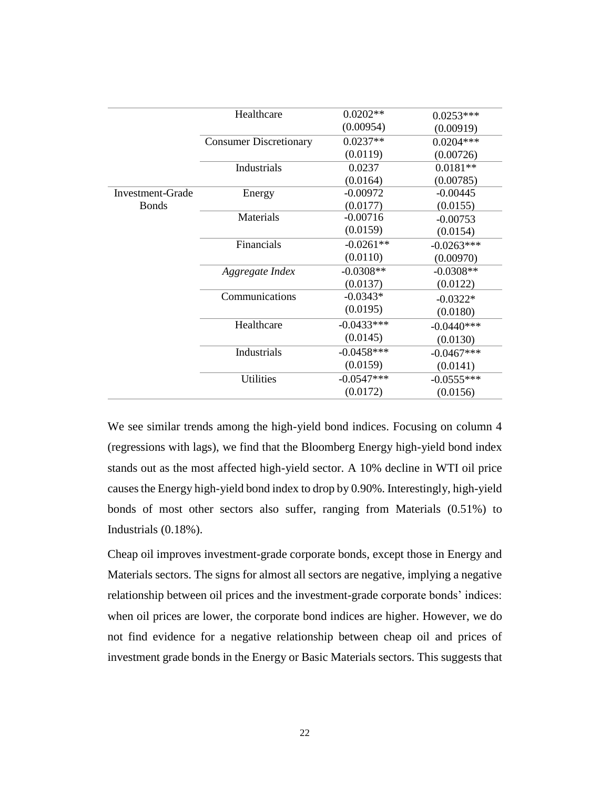|                  | Healthcare                    | $0.0202**$   | $0.0253***$  |
|------------------|-------------------------------|--------------|--------------|
|                  |                               | (0.00954)    | (0.00919)    |
|                  | <b>Consumer Discretionary</b> | $0.0237**$   | $0.0204***$  |
|                  |                               | (0.0119)     | (0.00726)    |
|                  | Industrials                   | 0.0237       | $0.0181**$   |
|                  |                               | (0.0164)     | (0.00785)    |
| Investment-Grade | Energy                        | $-0.00972$   | $-0.00445$   |
| <b>Bonds</b>     |                               | (0.0177)     | (0.0155)     |
|                  | Materials                     | $-0.00716$   | $-0.00753$   |
|                  |                               | (0.0159)     | (0.0154)     |
|                  | Financials                    | $-0.0261**$  | $-0.0263***$ |
|                  |                               | (0.0110)     | (0.00970)    |
|                  | Aggregate Index               | $-0.0308**$  | $-0.0308**$  |
|                  |                               | (0.0137)     | (0.0122)     |
|                  | Communications                | $-0.0343*$   | $-0.0322*$   |
|                  |                               | (0.0195)     | (0.0180)     |
|                  | Healthcare                    | $-0.0433***$ | $-0.0440***$ |
|                  |                               | (0.0145)     | (0.0130)     |
|                  | Industrials                   | $-0.0458***$ | $-0.0467***$ |
|                  |                               | (0.0159)     | (0.0141)     |
|                  | <b>Utilities</b>              | $-0.0547***$ | $-0.0555***$ |
|                  |                               | (0.0172)     | (0.0156)     |

We see similar trends among the high-yield bond indices. Focusing on column 4 (regressions with lags), we find that the Bloomberg Energy high-yield bond index stands out as the most affected high-yield sector. A 10% decline in WTI oil price causes the Energy high-yield bond index to drop by 0.90%. Interestingly, high-yield bonds of most other sectors also suffer, ranging from Materials (0.51%) to Industrials (0.18%).

Cheap oil improves investment-grade corporate bonds, except those in Energy and Materials sectors. The signs for almost all sectors are negative, implying a negative relationship between oil prices and the investment-grade corporate bonds' indices: when oil prices are lower, the corporate bond indices are higher. However, we do not find evidence for a negative relationship between cheap oil and prices of investment grade bonds in the Energy or Basic Materials sectors. This suggests that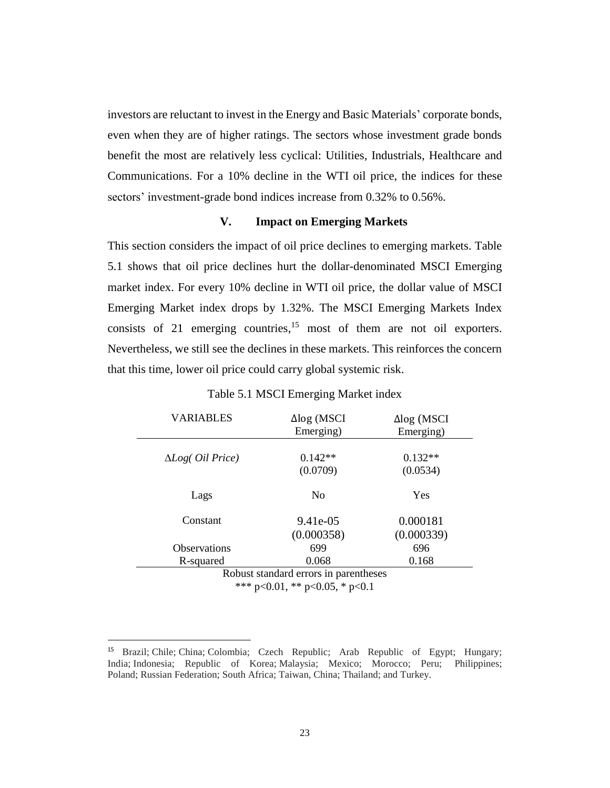investors are reluctant to invest in the Energy and Basic Materials' corporate bonds, even when they are of higher ratings. The sectors whose investment grade bonds benefit the most are relatively less cyclical: Utilities, Industrials, Healthcare and Communications. For a 10% decline in the WTI oil price, the indices for these sectors' investment-grade bond indices increase from 0.32% to 0.56%.

### **V. Impact on Emerging Markets**

<span id="page-22-0"></span>This section considers the impact of oil price declines to emerging markets. Table 5.1 shows that oil price declines hurt the dollar-denominated MSCI Emerging market index. For every 10% decline in WTI oil price, the dollar value of MSCI Emerging Market index drops by 1.32%. The MSCI Emerging Markets Index consists of 21 emerging countries,<sup>15</sup> most of them are not oil exporters. Nevertheless, we still see the declines in these markets. This reinforces the concern that this time, lower oil price could carry global systemic risk.

<span id="page-22-1"></span>

| <b>VARIABLES</b>                      | $\Delta$ log (MSCI | $\Delta$ log (MSCI |  |  |  |
|---------------------------------------|--------------------|--------------------|--|--|--|
|                                       | Emerging)          | Emerging)          |  |  |  |
|                                       |                    |                    |  |  |  |
| $\Delta Log$ ( <i>Oil Price</i> )     | $0.142**$          | $0.132**$          |  |  |  |
|                                       | (0.0709)           | (0.0534)           |  |  |  |
|                                       |                    |                    |  |  |  |
| Lags                                  | N <sub>0</sub>     | Yes                |  |  |  |
| Constant                              | 9.41e-05           | 0.000181           |  |  |  |
|                                       |                    |                    |  |  |  |
|                                       | (0.000358)         | (0.000339)         |  |  |  |
| <b>Observations</b>                   | 699                | 696                |  |  |  |
| R-squared                             | 0.068              | 0.168              |  |  |  |
| Robust standard errors in parentheses |                    |                    |  |  |  |

### Table 5.1 MSCI Emerging Market index

\*\*\* p<0.01, \*\* p<0.05, \* p<0.1

<sup>15</sup> Brazil; Chile; China; Colombia; Czech Republic; Arab Republic of Egypt; Hungary; India; Indonesia; Republic of Korea; Malaysia; Mexico; Morocco; Peru; Philippines; Poland; Russian Federation; South Africa; Taiwan, China; Thailand; and Turkey.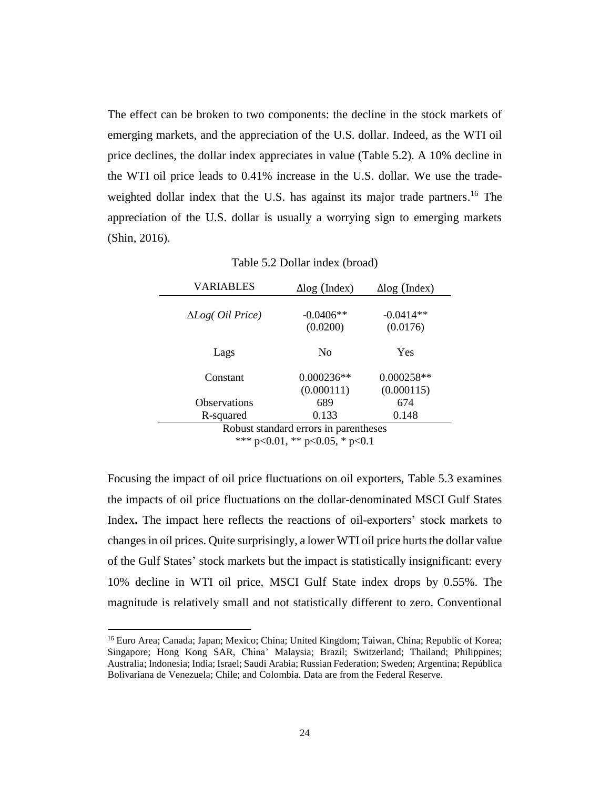The effect can be broken to two components: the decline in the stock markets of emerging markets, and the appreciation of the U.S. dollar. Indeed, as the WTI oil price declines, the dollar index appreciates in value (Table 5.2). A 10% decline in the WTI oil price leads to 0.41% increase in the U.S. dollar. We use the tradeweighted dollar index that the U.S. has against its major trade partners.<sup>16</sup> The appreciation of the U.S. dollar is usually a worrying sign to emerging markets (Shin, 2016).

Table 5.2 Dollar index (broad)

<span id="page-23-0"></span>

| <b>VARIABLES</b>                  | $\Delta$ log (Index)                  | $\Delta$ log (Index)       |
|-----------------------------------|---------------------------------------|----------------------------|
| $\Delta Log$ ( <i>Oil Price</i> ) | $-0.0406**$<br>(0.0200)               | $-0.0414**$<br>(0.0176)    |
| Lags                              | N <sub>0</sub>                        | Yes                        |
| Constant                          | $0.000236**$<br>(0.000111)            | $0.000258**$<br>(0.000115) |
| <b>Observations</b>               | 689                                   | 674                        |
| R-squared                         | 0.133                                 | 0.148                      |
|                                   | Robuet etandard grrore in naranthoege |                            |

Robust standard errors in parentheses \*\*\* p<0.01, \*\* p<0.05, \* p<0.1

Focusing the impact of oil price fluctuations on oil exporters, Table 5.3 examines the impacts of oil price fluctuations on the dollar-denominated MSCI Gulf States Index**.** The impact here reflects the reactions of oil-exporters' stock markets to changes in oil prices. Quite surprisingly, a lower WTI oil price hurts the dollar value of the Gulf States' stock markets but the impact is statistically insignificant: every 10% decline in WTI oil price, MSCI Gulf State index drops by 0.55%. The magnitude is relatively small and not statistically different to zero. Conventional

<sup>&</sup>lt;sup>16</sup> Euro Area; Canada; Japan; Mexico; China; United Kingdom; Taiwan, China; Republic of Korea; Singapore; Hong Kong SAR, China' Malaysia; Brazil; Switzerland; Thailand; Philippines; Australia; Indonesia; India; Israel; Saudi Arabia; Russian Federation; Sweden; Argentina; República Bolivariana de Venezuela; Chile; and Colombia. Data are from the Federal Reserve.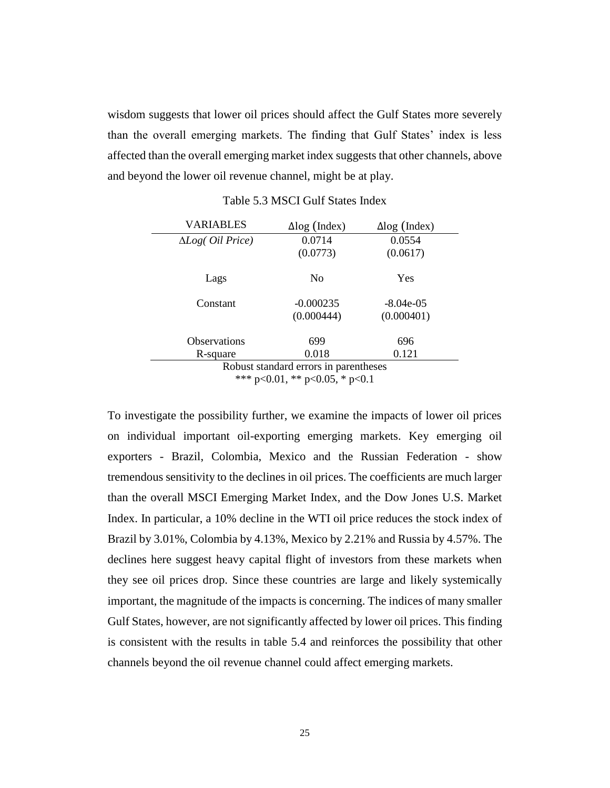wisdom suggests that lower oil prices should affect the Gulf States more severely than the overall emerging markets. The finding that Gulf States' index is less affected than the overall emerging market index suggests that other channels, above and beyond the lower oil revenue channel, might be at play.

<span id="page-24-0"></span>

| <b>VARIABLES</b>                      | $\Delta$ log (Index) | $\Delta$ log (Index) |  |  |  |
|---------------------------------------|----------------------|----------------------|--|--|--|
| $\Delta Log$ ( <i>Oil Price</i> )     | 0.0714               | 0.0554               |  |  |  |
|                                       | (0.0773)             | (0.0617)             |  |  |  |
| Lags                                  | N <sub>0</sub>       | Yes                  |  |  |  |
| Constant                              | $-0.000235$          | $-8.04e-05$          |  |  |  |
|                                       | (0.000444)           | (0.000401)           |  |  |  |
| <b>Observations</b>                   | 699                  | 696                  |  |  |  |
| R-square                              | 0.018                | 0.121                |  |  |  |
| Robust standard errors in parentheses |                      |                      |  |  |  |

Table 5.3 MSCI Gulf States Index

\*\*\* p<0.01, \*\* p<0.05, \* p<0.1

To investigate the possibility further, we examine the impacts of lower oil prices on individual important oil-exporting emerging markets. Key emerging oil exporters - Brazil, Colombia, Mexico and the Russian Federation - show tremendous sensitivity to the declines in oil prices. The coefficients are much larger than the overall MSCI Emerging Market Index, and the Dow Jones U.S. Market Index. In particular, a 10% decline in the WTI oil price reduces the stock index of Brazil by 3.01%, Colombia by 4.13%, Mexico by 2.21% and Russia by 4.57%. The declines here suggest heavy capital flight of investors from these markets when they see oil prices drop. Since these countries are large and likely systemically important, the magnitude of the impacts is concerning. The indices of many smaller Gulf States, however, are not significantly affected by lower oil prices. This finding is consistent with the results in table 5.4 and reinforces the possibility that other channels beyond the oil revenue channel could affect emerging markets.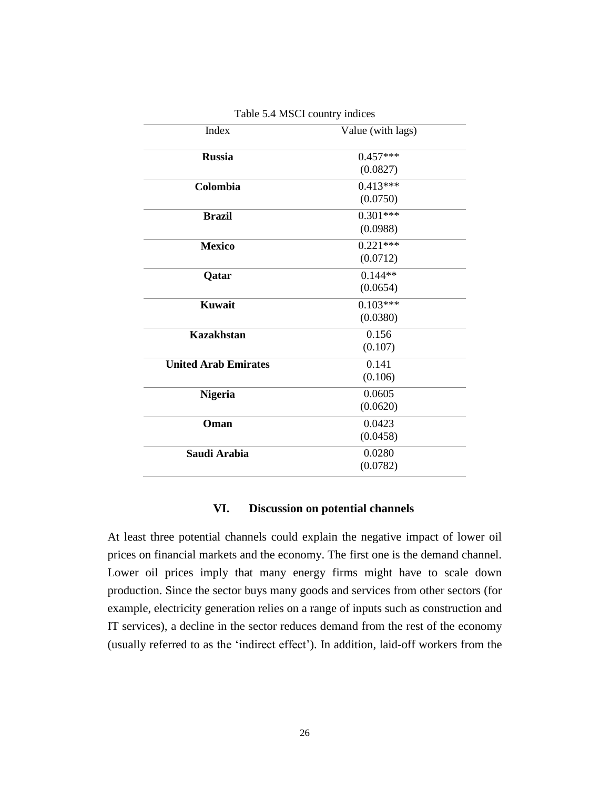| Index                       | Value (with lags) |
|-----------------------------|-------------------|
| <b>Russia</b>               | $0.457***$        |
|                             | (0.0827)          |
| Colombia                    | $0.413***$        |
|                             | (0.0750)          |
| <b>Brazil</b>               | $0.301***$        |
|                             | (0.0988)          |
| <b>Mexico</b>               | $0.221***$        |
|                             | (0.0712)          |
| Qatar                       | $0.144**$         |
|                             | (0.0654)          |
| <b>Kuwait</b>               | $0.103***$        |
|                             | (0.0380)          |
| <b>Kazakhstan</b>           | 0.156             |
|                             | (0.107)           |
| <b>United Arab Emirates</b> | 0.141             |
|                             | (0.106)           |
| <b>Nigeria</b>              | 0.0605            |
|                             | (0.0620)          |
| Oman                        | 0.0423            |
|                             | (0.0458)          |
| Saudi Arabia                | 0.0280            |
|                             | (0.0782)          |

Table 5.4 MSCI country indices

### **VI. Discussion on potential channels**

<span id="page-25-0"></span>At least three potential channels could explain the negative impact of lower oil prices on financial markets and the economy. The first one is the demand channel. Lower oil prices imply that many energy firms might have to scale down production. Since the sector buys many goods and services from other sectors (for example, electricity generation relies on a range of inputs such as construction and IT services), a decline in the sector reduces demand from the rest of the economy (usually referred to as the 'indirect effect'). In addition, laid-off workers from the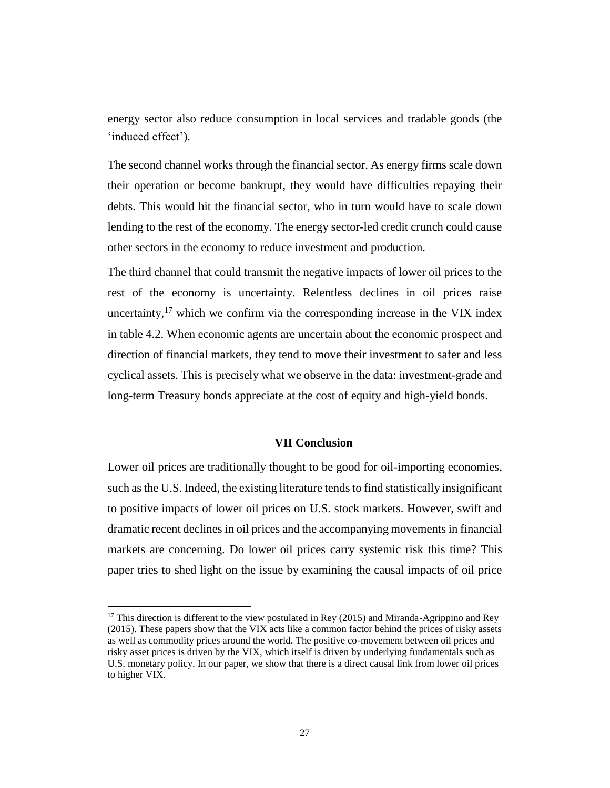energy sector also reduce consumption in local services and tradable goods (the 'induced effect').

The second channel works through the financial sector. As energy firms scale down their operation or become bankrupt, they would have difficulties repaying their debts. This would hit the financial sector, who in turn would have to scale down lending to the rest of the economy. The energy sector-led credit crunch could cause other sectors in the economy to reduce investment and production.

The third channel that could transmit the negative impacts of lower oil prices to the rest of the economy is uncertainty. Relentless declines in oil prices raise uncertainty,<sup>17</sup> which we confirm via the corresponding increase in the VIX index in table 4.2. When economic agents are uncertain about the economic prospect and direction of financial markets, they tend to move their investment to safer and less cyclical assets. This is precisely what we observe in the data: investment-grade and long-term Treasury bonds appreciate at the cost of equity and high-yield bonds.

### **VII Conclusion**

<span id="page-26-0"></span>Lower oil prices are traditionally thought to be good for oil-importing economies, such as the U.S. Indeed, the existing literature tends to find statistically insignificant to positive impacts of lower oil prices on U.S. stock markets. However, swift and dramatic recent declines in oil prices and the accompanying movements in financial markets are concerning. Do lower oil prices carry systemic risk this time? This paper tries to shed light on the issue by examining the causal impacts of oil price

l

<sup>&</sup>lt;sup>17</sup> This direction is different to the view postulated in Rey (2015) and Miranda-Agrippino and Rey (2015). These papers show that the VIX acts like a common factor behind the prices of risky assets as well as commodity prices around the world. The positive co-movement between oil prices and risky asset prices is driven by the VIX, which itself is driven by underlying fundamentals such as U.S. monetary policy. In our paper, we show that there is a direct causal link from lower oil prices to higher VIX.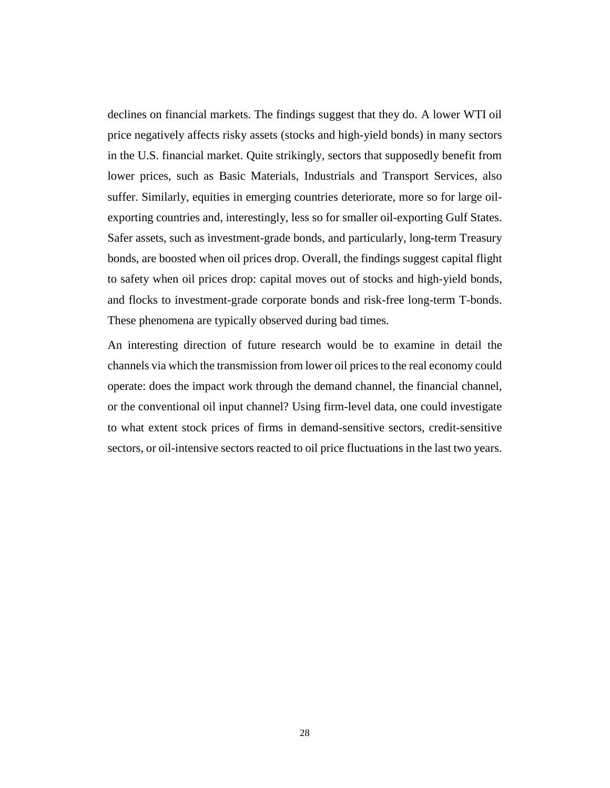declines on financial markets. The findings suggest that they do. A lower WTI oil price negatively affects risky assets (stocks and high-yield bonds) in many sectors in the U.S. financial market. Quite strikingly, sectors that supposedly benefit from lower prices, such as Basic Materials, Industrials and Transport Services, also suffer. Similarly, equities in emerging countries deteriorate, more so for large oilexporting countries and, interestingly, less so for smaller oil-exporting Gulf States. Safer assets, such as investment-grade bonds, and particularly, long-term Treasury bonds, are boosted when oil prices drop. Overall, the findings suggest capital flight to safety when oil prices drop: capital moves out of stocks and high-yield bonds, and flocks to investment-grade corporate bonds and risk-free long-term T-bonds. These phenomena are typically observed during bad times.

An interesting direction of future research would be to examine in detail the channels via which the transmission from lower oil prices to the real economy could operate: does the impact work through the demand channel, the financial channel, or the conventional oil input channel? Using firm-level data, one could investigate to what extent stock prices of firms in demand-sensitive sectors, credit-sensitive sectors, or oil-intensive sectors reacted to oil price fluctuations in the last two years.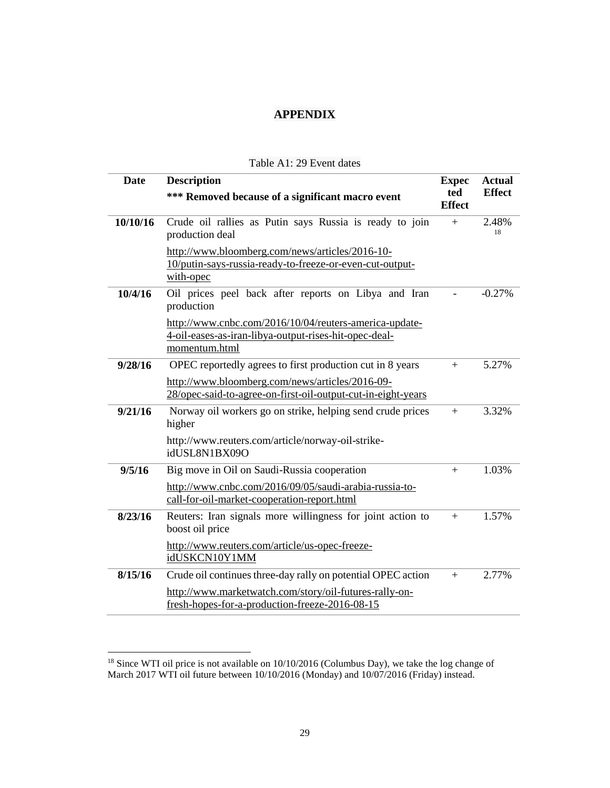### **APPENDIX**

<span id="page-28-1"></span><span id="page-28-0"></span>

| <b>Date</b> | <b>Description</b>                                                                                                               |                      |               |  |
|-------------|----------------------------------------------------------------------------------------------------------------------------------|----------------------|---------------|--|
|             | *** Removed because of a significant macro event                                                                                 | ted<br><b>Effect</b> | <b>Effect</b> |  |
| 10/10/16    | Crude oil rallies as Putin says Russia is ready to join<br>production deal                                                       | $+$                  | 2.48%<br>18   |  |
|             | http://www.bloomberg.com/news/articles/2016-10-<br>10/putin-says-russia-ready-to-freeze-or-even-cut-output-<br>with-opec         |                      |               |  |
| 10/4/16     | Oil prices peel back after reports on Libya and Iran<br>production                                                               |                      | $-0.27%$      |  |
|             | http://www.cnbc.com/2016/10/04/reuters-america-update-<br>4-oil-eases-as-iran-libya-output-rises-hit-opec-deal-<br>momentum.html |                      |               |  |
| 9/28/16     | OPEC reportedly agrees to first production cut in 8 years                                                                        | $+$                  | 5.27%         |  |
|             | http://www.bloomberg.com/news/articles/2016-09-<br>28/opec-said-to-agree-on-first-oil-output-cut-in-eight-years                  |                      |               |  |
| 9/21/16     | Norway oil workers go on strike, helping send crude prices<br>higher                                                             | $+$                  | 3.32%         |  |
|             | http://www.reuters.com/article/norway-oil-strike-<br>idUSL8N1BX09O                                                               |                      |               |  |
| 9/5/16      | Big move in Oil on Saudi-Russia cooperation                                                                                      | $+$                  | 1.03%         |  |
|             | http://www.cnbc.com/2016/09/05/saudi-arabia-russia-to-<br>call-for-oil-market-cooperation-report.html                            |                      |               |  |
| 8/23/16     | Reuters: Iran signals more willingness for joint action to<br>boost oil price                                                    | $+$                  | 1.57%         |  |
|             | http://www.reuters.com/article/us-opec-freeze-<br>idUSKCN10Y1MM                                                                  |                      |               |  |
| 8/15/16     | Crude oil continues three-day rally on potential OPEC action                                                                     | $+$                  | 2.77%         |  |
|             | http://www.marketwatch.com/story/oil-futures-rally-on-<br>fresh-hopes-for-a-production-freeze-2016-08-15                         |                      |               |  |

### Table A1: 29 Event dates

 $18$  Since WTI oil price is not available on  $10/10/2016$  (Columbus Day), we take the log change of March 2017 WTI oil future between 10/10/2016 (Monday) and 10/07/2016 (Friday) instead.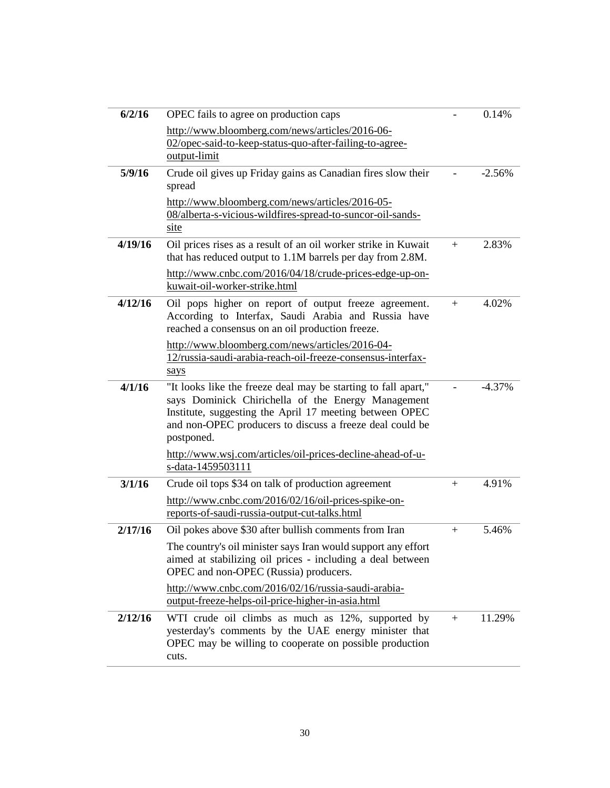| 6/2/16  | OPEC fails to agree on production caps                                                                                                                                                                                                                    |     | 0.14%    |
|---------|-----------------------------------------------------------------------------------------------------------------------------------------------------------------------------------------------------------------------------------------------------------|-----|----------|
|         | http://www.bloomberg.com/news/articles/2016-06-<br>02/opec-said-to-keep-status-quo-after-failing-to-agree-<br>output-limit                                                                                                                                |     |          |
| 5/9/16  | Crude oil gives up Friday gains as Canadian fires slow their<br>spread                                                                                                                                                                                    |     | $-2.56%$ |
|         | http://www.bloomberg.com/news/articles/2016-05-<br>08/alberta-s-vicious-wildfires-spread-to-suncor-oil-sands-<br>site                                                                                                                                     |     |          |
| 4/19/16 | Oil prices rises as a result of an oil worker strike in Kuwait                                                                                                                                                                                            | $+$ | 2.83%    |
|         | that has reduced output to 1.1M barrels per day from 2.8M.                                                                                                                                                                                                |     |          |
|         | http://www.cnbc.com/2016/04/18/crude-prices-edge-up-on-<br>kuwait-oil-worker-strike.html                                                                                                                                                                  |     |          |
| 4/12/16 | Oil pops higher on report of output freeze agreement.<br>According to Interfax, Saudi Arabia and Russia have<br>reached a consensus on an oil production freeze.                                                                                          | $+$ | 4.02%    |
|         | http://www.bloomberg.com/news/articles/2016-04-<br>12/russia-saudi-arabia-reach-oil-freeze-consensus-interfax-<br>says                                                                                                                                    |     |          |
| 4/1/16  | "It looks like the freeze deal may be starting to fall apart,"<br>says Dominick Chirichella of the Energy Management<br>Institute, suggesting the April 17 meeting between OPEC<br>and non-OPEC producers to discuss a freeze deal could be<br>postponed. |     | $-4.37%$ |
|         | http://www.wsj.com/articles/oil-prices-decline-ahead-of-u-<br>s-data-1459503111                                                                                                                                                                           |     |          |
| 3/1/16  | Crude oil tops \$34 on talk of production agreement                                                                                                                                                                                                       | $+$ | 4.91%    |
|         | http://www.cnbc.com/2016/02/16/oil-prices-spike-on-<br>reports-of-saudi-russia-output-cut-talks.html                                                                                                                                                      |     |          |
| 2/17/16 | Oil pokes above \$30 after bullish comments from Iran                                                                                                                                                                                                     | $+$ | 5.46%    |
|         | The country's oil minister says Iran would support any effort<br>aimed at stabilizing oil prices - including a deal between<br>OPEC and non-OPEC (Russia) producers.                                                                                      |     |          |
|         | http://www.cnbc.com/2016/02/16/russia-saudi-arabia-<br>output-freeze-helps-oil-price-higher-in-asia.html                                                                                                                                                  |     |          |
| 2/12/16 | WTI crude oil climbs as much as 12%, supported by<br>yesterday's comments by the UAE energy minister that<br>OPEC may be willing to cooperate on possible production<br>cuts.                                                                             | $+$ | 11.29%   |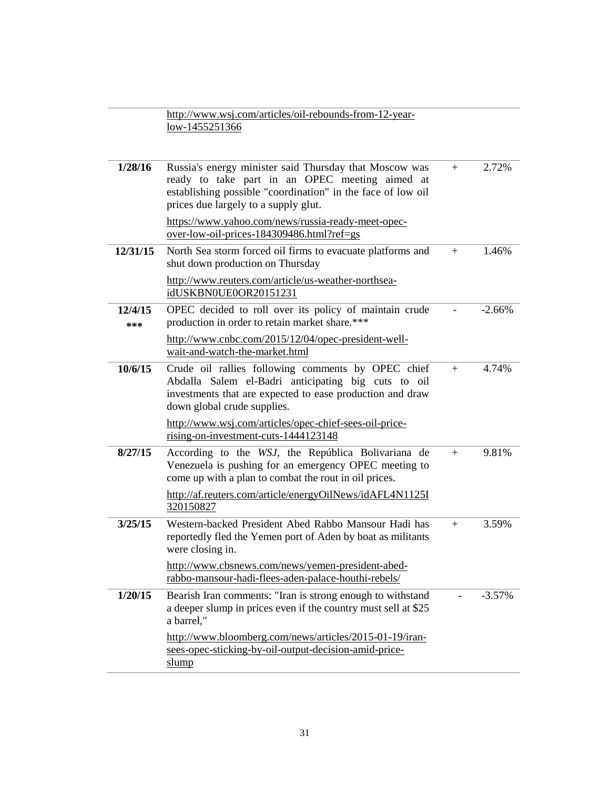|                | http://www.wsj.com/articles/oil-rebounds-from-12-year-<br>low-1455251366                                                                                                                                        |     |          |
|----------------|-----------------------------------------------------------------------------------------------------------------------------------------------------------------------------------------------------------------|-----|----------|
|                |                                                                                                                                                                                                                 |     |          |
| 1/28/16        | Russia's energy minister said Thursday that Moscow was<br>ready to take part in an OPEC meeting aimed at<br>establishing possible "coordination" in the face of low oil<br>prices due largely to a supply glut. | $+$ | 2.72%    |
|                | https://www.yahoo.com/news/russia-ready-meet-opec-<br>over-low-oil-prices-184309486.html?ref=gs                                                                                                                 |     |          |
| 12/31/15       | North Sea storm forced oil firms to evacuate platforms and<br>shut down production on Thursday                                                                                                                  | $+$ | 1.46%    |
|                | http://www.reuters.com/article/us-weather-northsea-<br>idUSKBN0UE0OR20151231                                                                                                                                    |     |          |
| 12/4/15<br>*** | OPEC decided to roll over its policy of maintain crude<br>production in order to retain market share.***                                                                                                        |     | $-2.66%$ |
|                | http://www.cnbc.com/2015/12/04/opec-president-well-<br>wait-and-watch-the-market.html                                                                                                                           |     |          |
| 10/6/15        | Crude oil rallies following comments by OPEC chief<br>Abdalla Salem el-Badri anticipating big cuts to oil<br>investments that are expected to ease production and draw<br>down global crude supplies.           | $+$ | 4.74%    |
|                | http://www.wsj.com/articles/opec-chief-sees-oil-price-<br>rising-on-investment-cuts-1444123148                                                                                                                  |     |          |
| 8/27/15        | According to the WSJ, the República Bolivariana de<br>Venezuela is pushing for an emergency OPEC meeting to<br>come up with a plan to combat the rout in oil prices.                                            | $+$ | 9.81%    |
|                | http://af.reuters.com/article/energyOilNews/idAFL4N1125I<br>320150827                                                                                                                                           |     |          |
| 3/25/15        | Western-backed President Abed Rabbo Mansour Hadi has<br>reportedly fled the Yemen port of Aden by boat as militants<br>were closing in.                                                                         | $+$ | 3.59%    |
|                | http://www.cbsnews.com/news/yemen-president-abed-<br>rabbo-mansour-hadi-flees-aden-palace-houthi-rebels/                                                                                                        |     |          |
| 1/20/15        | Bearish Iran comments: "Iran is strong enough to withstand<br>a deeper slump in prices even if the country must sell at \$25<br>a barrel,"                                                                      |     | $-3.57%$ |
|                | http://www.bloomberg.com/news/articles/2015-01-19/iran-<br>sees-opec-sticking-by-oil-output-decision-amid-price-<br>slump                                                                                       |     |          |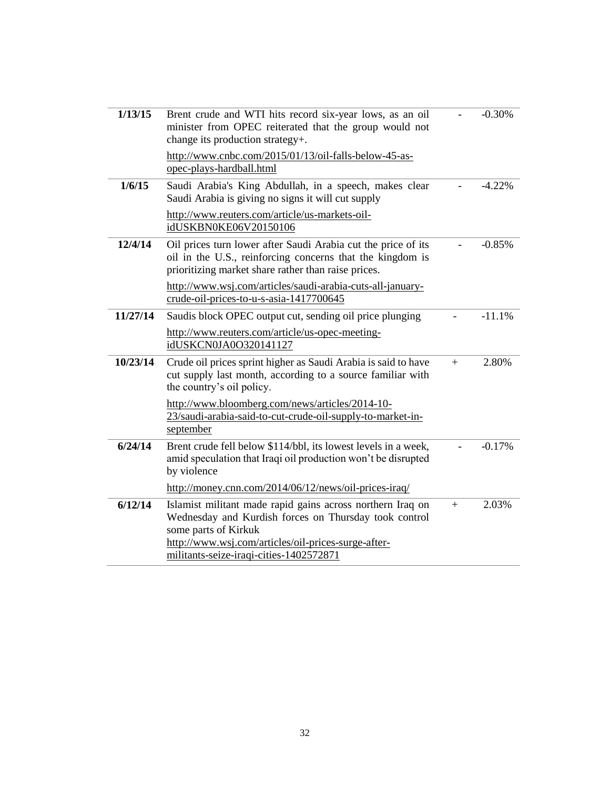| 1/13/15  | Brent crude and WTI hits record six-year lows, as an oil<br>minister from OPEC reiterated that the group would not<br>change its production strategy+.                                                                                        |     | $-0.30%$ |
|----------|-----------------------------------------------------------------------------------------------------------------------------------------------------------------------------------------------------------------------------------------------|-----|----------|
|          | http://www.cnbc.com/2015/01/13/oil-falls-below-45-as-<br>opec-plays-hardball.html                                                                                                                                                             |     |          |
| 1/6/15   | Saudi Arabia's King Abdullah, in a speech, makes clear<br>Saudi Arabia is giving no signs it will cut supply                                                                                                                                  |     | $-4.22%$ |
|          | http://www.reuters.com/article/us-markets-oil-<br>idUSKBN0KE06V20150106                                                                                                                                                                       |     |          |
| 12/4/14  | Oil prices turn lower after Saudi Arabia cut the price of its<br>oil in the U.S., reinforcing concerns that the kingdom is<br>prioritizing market share rather than raise prices.                                                             |     | $-0.85%$ |
|          | http://www.wsj.com/articles/saudi-arabia-cuts-all-january-<br>crude-oil-prices-to-u-s-asia-1417700645                                                                                                                                         |     |          |
| 11/27/14 | Saudis block OPEC output cut, sending oil price plunging                                                                                                                                                                                      |     | $-11.1%$ |
|          | http://www.reuters.com/article/us-opec-meeting-<br>idUSKCN0JA0O320141127                                                                                                                                                                      |     |          |
| 10/23/14 | Crude oil prices sprint higher as Saudi Arabia is said to have<br>cut supply last month, according to a source familiar with<br>the country's oil policy.                                                                                     | $+$ | 2.80%    |
|          | http://www.bloomberg.com/news/articles/2014-10-<br>23/saudi-arabia-said-to-cut-crude-oil-supply-to-market-in-<br>september                                                                                                                    |     |          |
| 6/24/14  | Brent crude fell below \$114/bbl, its lowest levels in a week,<br>amid speculation that Iraqi oil production won't be disrupted<br>by violence                                                                                                |     | $-0.17%$ |
|          | http://money.cnn.com/2014/06/12/news/oil-prices-iraq/                                                                                                                                                                                         |     |          |
| 6/12/14  | Islamist militant made rapid gains across northern Iraq on<br>Wednesday and Kurdish forces on Thursday took control<br>some parts of Kirkuk<br>http://www.wsj.com/articles/oil-prices-surge-after-<br>militants-seize-iraqi-cities-1402572871 | $+$ | 2.03%    |
|          |                                                                                                                                                                                                                                               |     |          |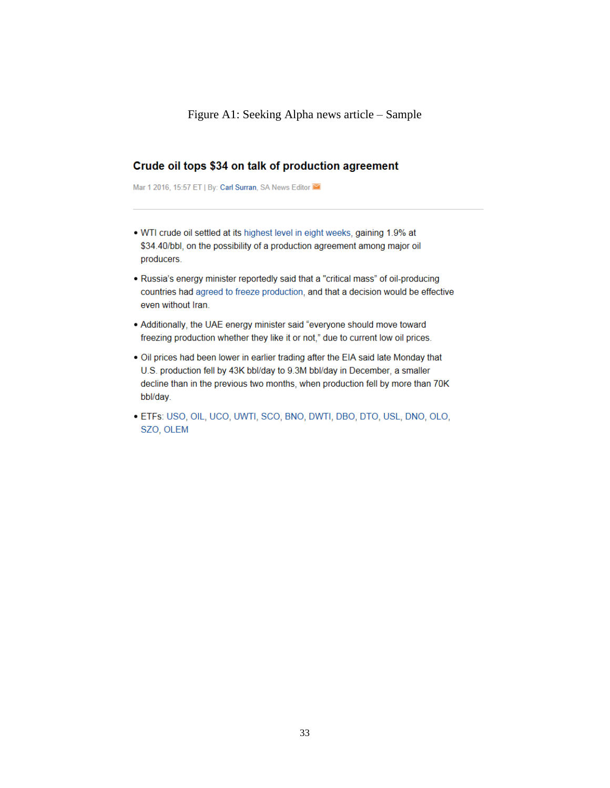### <span id="page-32-0"></span>Crude oil tops \$34 on talk of production agreement

Mar 1 2016, 15:57 ET | By: Carl Surran, SA News Editor

- . WTI crude oil settled at its highest level in eight weeks, gaining 1.9% at \$34.40/bbl, on the possibility of a production agreement among major oil producers.
- . Russia's energy minister reportedly said that a "critical mass" of oil-producing countries had agreed to freeze production, and that a decision would be effective even without Iran.
- Additionally, the UAE energy minister said "everyone should move toward freezing production whether they like it or not," due to current low oil prices.
- . Oil prices had been lower in earlier trading after the EIA said late Monday that U.S. production fell by 43K bbl/day to 9.3M bbl/day in December, a smaller decline than in the previous two months, when production fell by more than 70K bbl/day.
- · ETFs: USO, OIL, UCO, UWTI, SCO, BNO, DWTI, DBO, DTO, USL, DNO, OLO, SZO, OLEM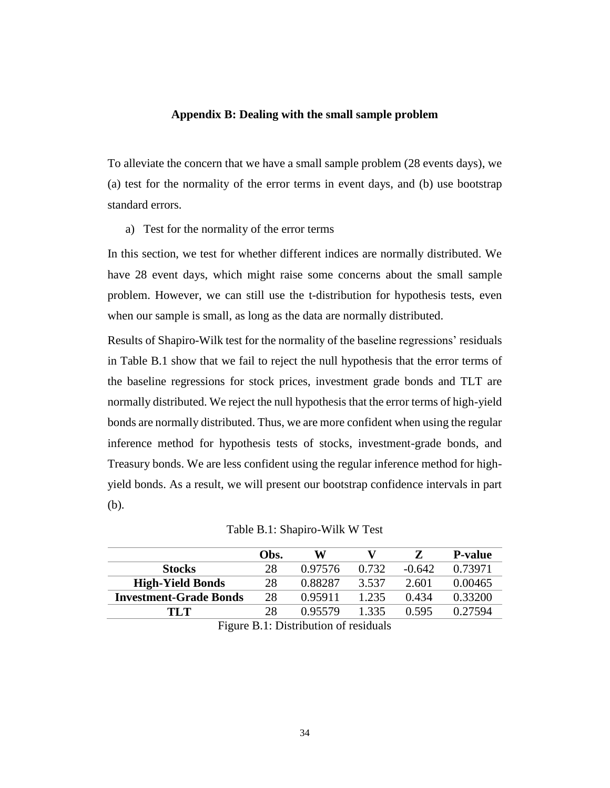### **Appendix B: Dealing with the small sample problem**

<span id="page-33-0"></span>To alleviate the concern that we have a small sample problem (28 events days), we (a) test for the normality of the error terms in event days, and (b) use bootstrap standard errors.

a) Test for the normality of the error terms

In this section, we test for whether different indices are normally distributed. We have 28 event days, which might raise some concerns about the small sample problem. However, we can still use the t-distribution for hypothesis tests, even when our sample is small, as long as the data are normally distributed.

Results of Shapiro-Wilk test for the normality of the baseline regressions' residuals in Table B.1 show that we fail to reject the null hypothesis that the error terms of the baseline regressions for stock prices, investment grade bonds and TLT are normally distributed. We reject the null hypothesis that the error terms of high-yield bonds are normally distributed. Thus, we are more confident when using the regular inference method for hypothesis tests of stocks, investment-grade bonds, and Treasury bonds. We are less confident using the regular inference method for highyield bonds. As a result, we will present our bootstrap confidence intervals in part (b).

|  | Table B.1: Shapiro-Wilk W Test |  |
|--|--------------------------------|--|
|--|--------------------------------|--|

<span id="page-33-1"></span>

|                               | Obs. | W       |       |          | <b>P-value</b> |
|-------------------------------|------|---------|-------|----------|----------------|
| <b>Stocks</b>                 | 28   | 0.97576 | 0.732 | $-0.642$ | 0.73971        |
| <b>High-Yield Bonds</b>       | 28   | 0.88287 | 3.537 | 2.601    | 0.00465        |
| <b>Investment-Grade Bonds</b> | 28   | 0.95911 | 1.235 | 0.434    | 0.33200        |
| TI T                          | 28   | 0.95579 | 1.335 | 0.595    | 0.27594        |
|                               |      |         |       |          |                |

|  | Figure B.1: Distribution of residuals |  |  |
|--|---------------------------------------|--|--|
|  |                                       |  |  |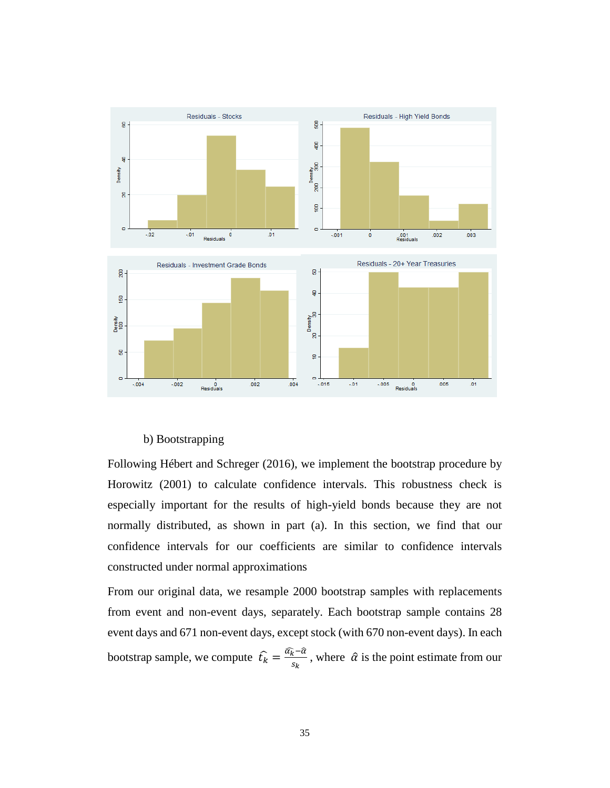

### b) Bootstrapping

Following Hébert and Schreger (2016), we implement the bootstrap procedure by Horowitz (2001) to calculate confidence intervals. This robustness check is especially important for the results of high-yield bonds because they are not normally distributed, as shown in part (a). In this section, we find that our confidence intervals for our coefficients are similar to confidence intervals constructed under normal approximations

From our original data, we resample 2000 bootstrap samples with replacements from event and non-event days, separately. Each bootstrap sample contains 28 event days and 671 non-event days, except stock (with 670 non-event days). In each bootstrap sample, we compute  $f_k = \frac{\widehat{a_k} - \widehat{a_k}}{s}$  $\frac{k-a}{s_k}$ , where  $\hat{\alpha}$  is the point estimate from our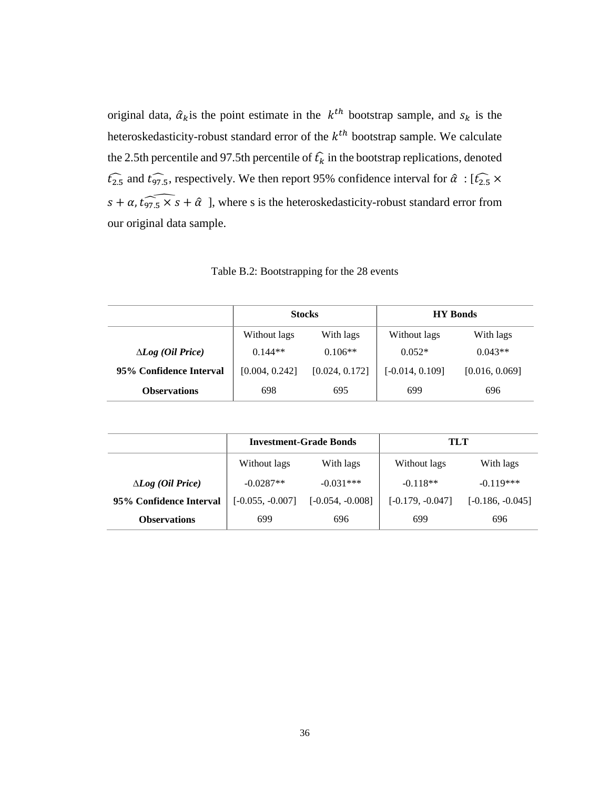original data,  $\hat{\alpha}_k$  is the point estimate in the  $k^{th}$  bootstrap sample, and  $s_k$  is the heteroskedasticity-robust standard error of the  $k^{th}$  bootstrap sample. We calculate the 2.5th percentile and 97.5th percentile of  $\hat{t}_k$  in the bootstrap replications, denoted  $\widehat{t_{2.5}}$  and  $\widehat{t_{97.5}}$ , respectively. We then report 95% confidence interval for  $\widehat{\alpha}$ : [ $\widehat{t_{2.5}}$  ×  $s + \alpha$ ,  $\widehat{t_{97.5} \times s} + \hat{\alpha}$ ], where s is the heteroskedasticity-robust standard error from our original data sample.

Table B.2: Bootstrapping for the 28 events

|                                   | <b>Stocks</b>             |                |                   | <b>HY</b> Bonds |
|-----------------------------------|---------------------------|----------------|-------------------|-----------------|
|                                   | Without lags<br>With lags |                | Without lags      | With lags       |
| $\Delta Log$ ( <i>Oil Price</i> ) | $0.144**$                 | $0.106**$      | $0.052*$          | $0.043**$       |
| 95% Confidence Interval           | [0.004, 0.242]            | [0.024, 0.172] | $[-0.014, 0.109]$ | [0.016, 0.069]  |
| <b>Observations</b>               | 698                       | 695            | 699               | 696             |

|                                   | <b>Investment-Grade Bonds</b> |                    | TLT                |                    |
|-----------------------------------|-------------------------------|--------------------|--------------------|--------------------|
|                                   | Without lags                  | With lags          | Without lags       | With lags          |
| $\Delta Log$ ( <i>Oil Price</i> ) | $-0.0287**$                   | $-0.031***$        | $-0.118**$         | $-0.119***$        |
| 95% Confidence Interval           | $[-0.055, -0.007]$            | $[-0.054, -0.008]$ | $[-0.179, -0.047]$ | $[-0.186, -0.045]$ |
| <b>Observations</b>               | 699                           | 696                | 699                | 696                |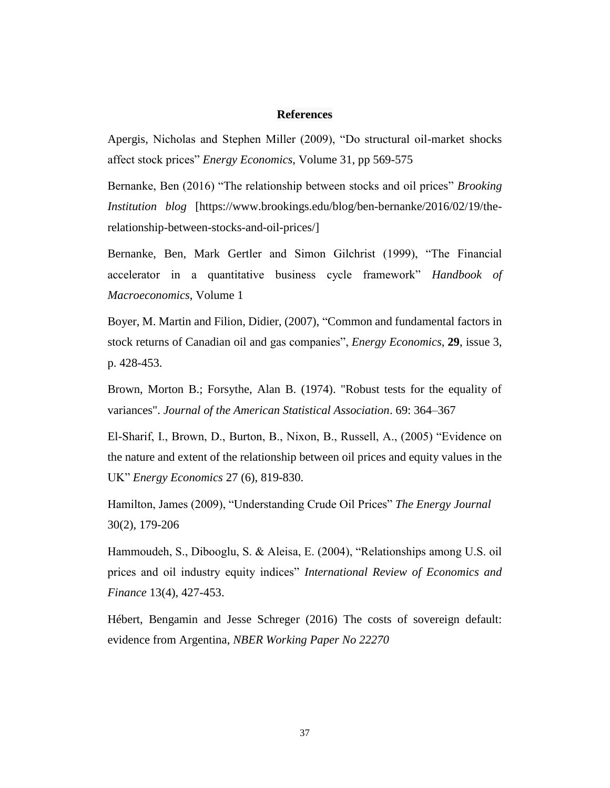### **References**

<span id="page-36-0"></span>Apergis, Nicholas and Stephen Miller (2009), "Do structural oil-market shocks affect stock prices" *Energy Economics*, Volume 31, pp 569-575

Bernanke, Ben (2016) "The relationship between stocks and oil prices" *Brooking Institution blog* [https://www.brookings.edu/blog/ben-bernanke/2016/02/19/therelationship-between-stocks-and-oil-prices/]

Bernanke, Ben, Mark Gertler and Simon Gilchrist (1999), "The Financial accelerator in a quantitative business cycle framework" *Handbook of Macroeconomics*, Volume 1

Boyer, M. Martin and Filion, Didier, (2007), "Common and fundamental factors in stock returns of Canadian oil and gas companies", *Energy Economics*, **29**, issue 3, p. 428-453.

Brown, Morton B.; Forsythe, Alan B. (1974). "Robust tests for the equality of variances". *Journal of the American Statistical Association*. 69: 364–367

El-Sharif, I., Brown, D., Burton, B., Nixon, B., Russell, A., (2005) "Evidence on the nature and extent of the relationship between oil prices and equity values in the UK" *Energy Economics* 27 (6), 819-830.

Hamilton, James (2009), "Understanding Crude Oil Prices" *The Energy Journal* 30(2), 179-206

Hammoudeh, S., Dibooglu, S. & Aleisa, E. (2004), "Relationships among U.S. oil prices and oil industry equity indices" *International Review of Economics and Finance* 13(4), 427-453.

Hébert, Bengamin and Jesse Schreger (2016) The costs of sovereign default: evidence from Argentina, *NBER Working Paper No 22270*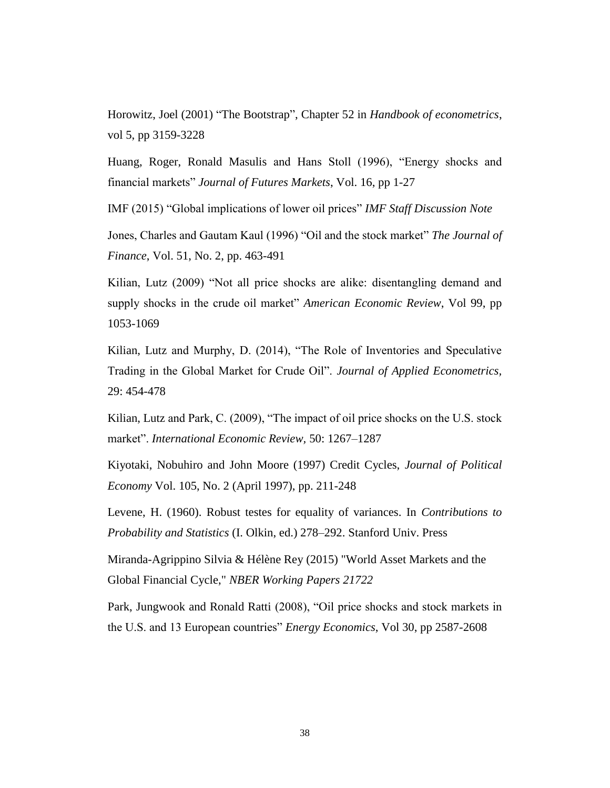Horowitz, Joel (2001) "The Bootstrap", Chapter 52 in *Handbook of econometrics*, vol 5, pp 3159-3228

Huang, Roger, Ronald Masulis and Hans Stoll (1996), "Energy shocks and financial markets" *Journal of Futures Markets*, Vol. 16, pp 1-27

IMF (2015) "Global implications of lower oil prices" *IMF Staff Discussion Note*

Jones, Charles and Gautam Kaul (1996) "Oil and the stock market" *The Journal of Finance*, Vol. 51, No. 2, pp. 463-491

Kilian, Lutz (2009) "Not all price shocks are alike: disentangling demand and supply shocks in the crude oil market" *American Economic Review*, Vol 99, pp 1053-1069

Kilian, Lutz and Murphy, D. (2014), "The Role of Inventories and Speculative Trading in the Global Market for Crude Oil". *Journal of Applied Econometrics,* 29: 454-478

Kilian, Lutz and Park, C. (2009), "The impact of oil price shocks on the U.S. stock market". *International Economic Review,* 50: 1267–1287

Kiyotaki, Nobuhiro and John Moore (1997) Credit Cycles, *Journal of Political Economy* Vol. 105, No. 2 (April 1997), pp. 211-248

Levene, H. (1960). Robust testes for equality of variances. In *Contributions to Probability and Statistics* (I. Olkin, ed.) 278–292. Stanford Univ. Press

Miranda-Agrippino Silvia & Hélène Rey (2015) "World Asset Markets and the Global Financial Cycle," *NBER Working Papers 21722*

Park, Jungwook and Ronald Ratti (2008), "Oil price shocks and stock markets in the U.S. and 13 European countries" *Energy Economics*, Vol 30, pp 2587-2608